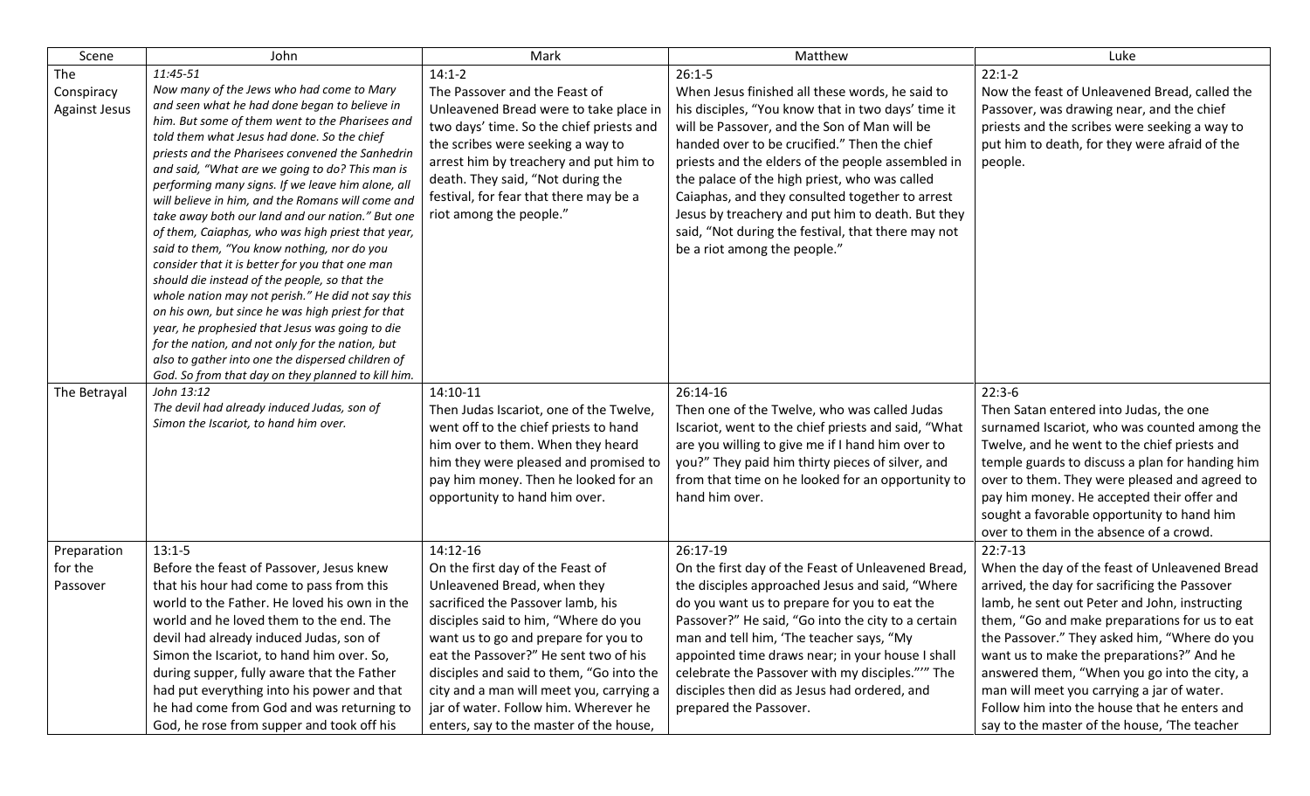| Scene                              | John                                                                                                                                                                                                                                                                                                                                                                                                                                                                                                                                                                                                                                                                                                                                                                                                                                                                                                                                                                                                  | Mark                                                                                                                                                                                                                                                                                                                                                                                                                  | Matthew                                                                                                                                                                                                                                                                                                                                                                                                                                                                                                   | Luke                                                                                                                                                                                                                                                                                                                                                                                                                                                                                                     |
|------------------------------------|-------------------------------------------------------------------------------------------------------------------------------------------------------------------------------------------------------------------------------------------------------------------------------------------------------------------------------------------------------------------------------------------------------------------------------------------------------------------------------------------------------------------------------------------------------------------------------------------------------------------------------------------------------------------------------------------------------------------------------------------------------------------------------------------------------------------------------------------------------------------------------------------------------------------------------------------------------------------------------------------------------|-----------------------------------------------------------------------------------------------------------------------------------------------------------------------------------------------------------------------------------------------------------------------------------------------------------------------------------------------------------------------------------------------------------------------|-----------------------------------------------------------------------------------------------------------------------------------------------------------------------------------------------------------------------------------------------------------------------------------------------------------------------------------------------------------------------------------------------------------------------------------------------------------------------------------------------------------|----------------------------------------------------------------------------------------------------------------------------------------------------------------------------------------------------------------------------------------------------------------------------------------------------------------------------------------------------------------------------------------------------------------------------------------------------------------------------------------------------------|
| The                                | 11:45-51                                                                                                                                                                                                                                                                                                                                                                                                                                                                                                                                                                                                                                                                                                                                                                                                                                                                                                                                                                                              | $14:1-2$                                                                                                                                                                                                                                                                                                                                                                                                              | $26:1 - 5$                                                                                                                                                                                                                                                                                                                                                                                                                                                                                                | $22:1-2$                                                                                                                                                                                                                                                                                                                                                                                                                                                                                                 |
| Conspiracy<br><b>Against Jesus</b> | Now many of the Jews who had come to Mary<br>and seen what he had done began to believe in<br>him. But some of them went to the Pharisees and<br>told them what Jesus had done. So the chief<br>priests and the Pharisees convened the Sanhedrin<br>and said, "What are we going to do? This man is<br>performing many signs. If we leave him alone, all<br>will believe in him, and the Romans will come and<br>take away both our land and our nation." But one<br>of them, Caiaphas, who was high priest that year,<br>said to them, "You know nothing, nor do you<br>consider that it is better for you that one man<br>should die instead of the people, so that the<br>whole nation may not perish." He did not say this<br>on his own, but since he was high priest for that<br>year, he prophesied that Jesus was going to die<br>for the nation, and not only for the nation, but<br>also to gather into one the dispersed children of<br>God. So from that day on they planned to kill him. | The Passover and the Feast of<br>Unleavened Bread were to take place in<br>two days' time. So the chief priests and<br>the scribes were seeking a way to<br>arrest him by treachery and put him to<br>death. They said, "Not during the<br>festival, for fear that there may be a<br>riot among the people."                                                                                                          | When Jesus finished all these words, he said to<br>his disciples, "You know that in two days' time it<br>will be Passover, and the Son of Man will be<br>handed over to be crucified." Then the chief<br>priests and the elders of the people assembled in<br>the palace of the high priest, who was called<br>Caiaphas, and they consulted together to arrest<br>Jesus by treachery and put him to death. But they<br>said, "Not during the festival, that there may not<br>be a riot among the people." | Now the feast of Unleavened Bread, called the<br>Passover, was drawing near, and the chief<br>priests and the scribes were seeking a way to<br>put him to death, for they were afraid of the<br>people.                                                                                                                                                                                                                                                                                                  |
| The Betrayal                       | John 13:12<br>The devil had already induced Judas, son of<br>Simon the Iscariot, to hand him over.                                                                                                                                                                                                                                                                                                                                                                                                                                                                                                                                                                                                                                                                                                                                                                                                                                                                                                    | 14:10-11<br>Then Judas Iscariot, one of the Twelve,<br>went off to the chief priests to hand<br>him over to them. When they heard<br>him they were pleased and promised to<br>pay him money. Then he looked for an<br>opportunity to hand him over.                                                                                                                                                                   | 26:14-16<br>Then one of the Twelve, who was called Judas<br>Iscariot, went to the chief priests and said, "What<br>are you willing to give me if I hand him over to<br>you?" They paid him thirty pieces of silver, and<br>from that time on he looked for an opportunity to<br>hand him over.                                                                                                                                                                                                            | $22:3-6$<br>Then Satan entered into Judas, the one<br>surnamed Iscariot, who was counted among the<br>Twelve, and he went to the chief priests and<br>temple guards to discuss a plan for handing him<br>over to them. They were pleased and agreed to<br>pay him money. He accepted their offer and<br>sought a favorable opportunity to hand him<br>over to them in the absence of a crowd.                                                                                                            |
| Preparation<br>for the<br>Passover | $13:1-5$<br>Before the feast of Passover, Jesus knew<br>that his hour had come to pass from this<br>world to the Father. He loved his own in the<br>world and he loved them to the end. The<br>devil had already induced Judas, son of<br>Simon the Iscariot, to hand him over. So,<br>during supper, fully aware that the Father<br>had put everything into his power and that<br>he had come from God and was returning to<br>God, he rose from supper and took off his                                                                                                                                                                                                                                                                                                                                                                                                                                                                                                                             | 14:12-16<br>On the first day of the Feast of<br>Unleavened Bread, when they<br>sacrificed the Passover lamb, his<br>disciples said to him, "Where do you<br>want us to go and prepare for you to<br>eat the Passover?" He sent two of his<br>disciples and said to them, "Go into the<br>city and a man will meet you, carrying a<br>jar of water. Follow him. Wherever he<br>enters, say to the master of the house, | 26:17-19<br>On the first day of the Feast of Unleavened Bread,<br>the disciples approached Jesus and said, "Where<br>do you want us to prepare for you to eat the<br>Passover?" He said, "Go into the city to a certain<br>man and tell him, 'The teacher says, "My<br>appointed time draws near; in your house I shall<br>celebrate the Passover with my disciples."" The<br>disciples then did as Jesus had ordered, and<br>prepared the Passover.                                                      | $22:7-13$<br>When the day of the feast of Unleavened Bread<br>arrived, the day for sacrificing the Passover<br>lamb, he sent out Peter and John, instructing<br>them, "Go and make preparations for us to eat<br>the Passover." They asked him, "Where do you<br>want us to make the preparations?" And he<br>answered them, "When you go into the city, a<br>man will meet you carrying a jar of water.<br>Follow him into the house that he enters and<br>say to the master of the house, 'The teacher |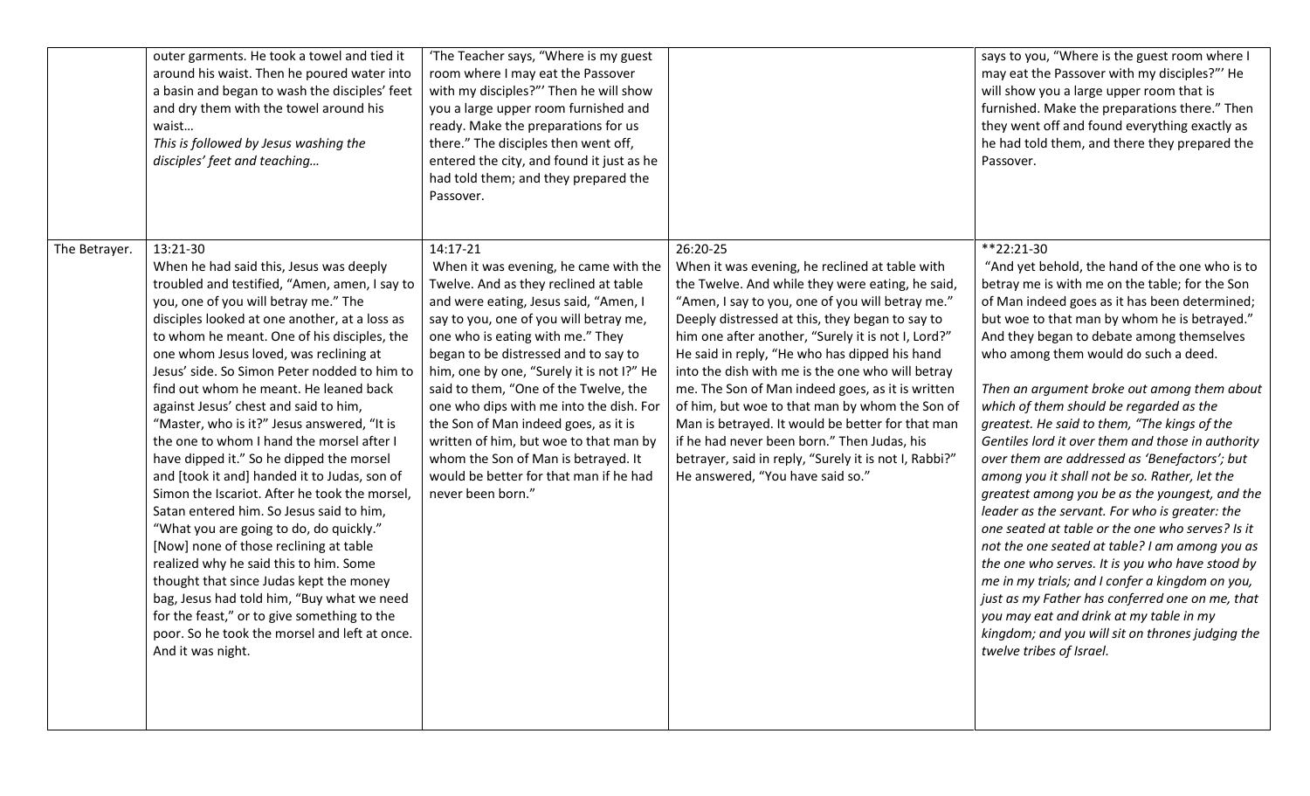|               | outer garments. He took a towel and tied it<br>around his waist. Then he poured water into<br>a basin and began to wash the disciples' feet<br>and dry them with the towel around his<br>waist<br>This is followed by Jesus washing the<br>disciples' feet and teaching                                                                                                                                                                                                                                                                                                                                                                                                                                                                                                                                                                                                                                                                                                                                                                                     | 'The Teacher says, "Where is my guest<br>room where I may eat the Passover<br>with my disciples?"' Then he will show<br>you a large upper room furnished and<br>ready. Make the preparations for us<br>there." The disciples then went off,<br>entered the city, and found it just as he<br>had told them; and they prepared the<br>Passover.                                                                                                                                                                                                                                      |                                                                                                                                                                                                                                                                                                                                                                                                                                                                                                                                                                                                                                                                                        | says to you, "Where is the guest room where I<br>may eat the Passover with my disciples?"' He<br>will show you a large upper room that is<br>furnished. Make the preparations there." Then<br>they went off and found everything exactly as<br>he had told them, and there they prepared the<br>Passover.                                                                                                                                                                                                                                                                                                                                                                                                                                                                                                                                                                                                                                                                                                                                                                                           |
|---------------|-------------------------------------------------------------------------------------------------------------------------------------------------------------------------------------------------------------------------------------------------------------------------------------------------------------------------------------------------------------------------------------------------------------------------------------------------------------------------------------------------------------------------------------------------------------------------------------------------------------------------------------------------------------------------------------------------------------------------------------------------------------------------------------------------------------------------------------------------------------------------------------------------------------------------------------------------------------------------------------------------------------------------------------------------------------|------------------------------------------------------------------------------------------------------------------------------------------------------------------------------------------------------------------------------------------------------------------------------------------------------------------------------------------------------------------------------------------------------------------------------------------------------------------------------------------------------------------------------------------------------------------------------------|----------------------------------------------------------------------------------------------------------------------------------------------------------------------------------------------------------------------------------------------------------------------------------------------------------------------------------------------------------------------------------------------------------------------------------------------------------------------------------------------------------------------------------------------------------------------------------------------------------------------------------------------------------------------------------------|-----------------------------------------------------------------------------------------------------------------------------------------------------------------------------------------------------------------------------------------------------------------------------------------------------------------------------------------------------------------------------------------------------------------------------------------------------------------------------------------------------------------------------------------------------------------------------------------------------------------------------------------------------------------------------------------------------------------------------------------------------------------------------------------------------------------------------------------------------------------------------------------------------------------------------------------------------------------------------------------------------------------------------------------------------------------------------------------------------|
| The Betrayer. | 13:21-30<br>When he had said this, Jesus was deeply<br>troubled and testified, "Amen, amen, I say to<br>you, one of you will betray me." The<br>disciples looked at one another, at a loss as<br>to whom he meant. One of his disciples, the<br>one whom Jesus loved, was reclining at<br>Jesus' side. So Simon Peter nodded to him to<br>find out whom he meant. He leaned back<br>against Jesus' chest and said to him,<br>"Master, who is it?" Jesus answered, "It is<br>the one to whom I hand the morsel after I<br>have dipped it." So he dipped the morsel<br>and [took it and] handed it to Judas, son of<br>Simon the Iscariot. After he took the morsel,<br>Satan entered him. So Jesus said to him,<br>"What you are going to do, do quickly."<br>[Now] none of those reclining at table<br>realized why he said this to him. Some<br>thought that since Judas kept the money<br>bag, Jesus had told him, "Buy what we need<br>for the feast," or to give something to the<br>poor. So he took the morsel and left at once.<br>And it was night. | 14:17-21<br>When it was evening, he came with the<br>Twelve. And as they reclined at table<br>and were eating, Jesus said, "Amen, I<br>say to you, one of you will betray me,<br>one who is eating with me." They<br>began to be distressed and to say to<br>him, one by one, "Surely it is not I?" He<br>said to them, "One of the Twelve, the<br>one who dips with me into the dish. For<br>the Son of Man indeed goes, as it is<br>written of him, but woe to that man by<br>whom the Son of Man is betrayed. It<br>would be better for that man if he had<br>never been born." | 26:20-25<br>When it was evening, he reclined at table with<br>the Twelve. And while they were eating, he said,<br>"Amen, I say to you, one of you will betray me."<br>Deeply distressed at this, they began to say to<br>him one after another, "Surely it is not I, Lord?"<br>He said in reply, "He who has dipped his hand<br>into the dish with me is the one who will betray<br>me. The Son of Man indeed goes, as it is written<br>of him, but woe to that man by whom the Son of<br>Man is betrayed. It would be better for that man<br>if he had never been born." Then Judas, his<br>betrayer, said in reply, "Surely it is not I, Rabbi?"<br>He answered, "You have said so." | **22:21-30<br>"And yet behold, the hand of the one who is to<br>betray me is with me on the table; for the Son<br>of Man indeed goes as it has been determined;<br>but woe to that man by whom he is betrayed."<br>And they began to debate among themselves<br>who among them would do such a deed.<br>Then an argument broke out among them about<br>which of them should be regarded as the<br>greatest. He said to them, "The kings of the<br>Gentiles lord it over them and those in authority<br>over them are addressed as 'Benefactors'; but<br>among you it shall not be so. Rather, let the<br>greatest among you be as the youngest, and the<br>leader as the servant. For who is greater: the<br>one seated at table or the one who serves? Is it<br>not the one seated at table? I am among you as<br>the one who serves. It is you who have stood by<br>me in my trials; and I confer a kingdom on you,<br>just as my Father has conferred one on me, that<br>you may eat and drink at my table in my<br>kingdom; and you will sit on thrones judging the<br>twelve tribes of Israel. |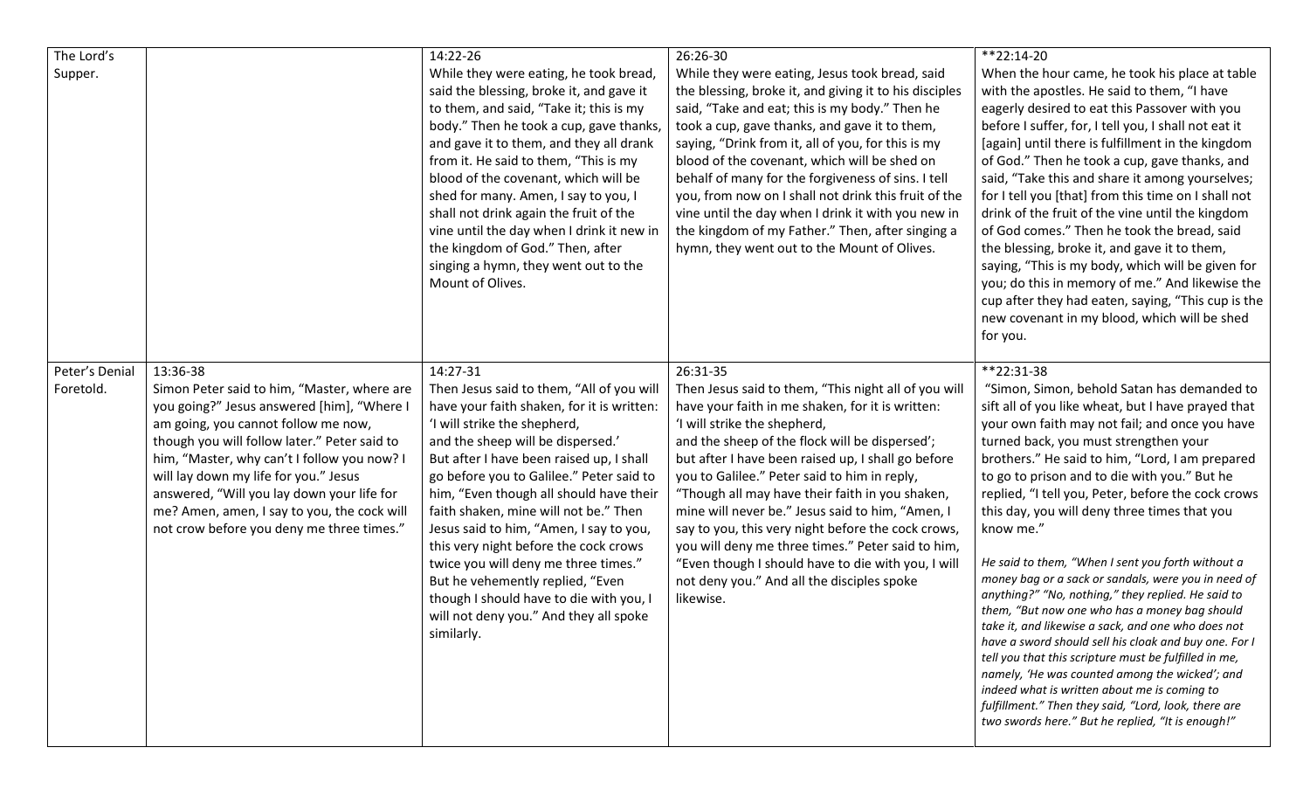| The Lord's<br>Supper.       |                                                                                                                                                                                                                                                                                                                                                                                                                                | 14:22-26<br>While they were eating, he took bread,<br>said the blessing, broke it, and gave it<br>to them, and said, "Take it; this is my<br>body." Then he took a cup, gave thanks,<br>and gave it to them, and they all drank<br>from it. He said to them, "This is my<br>blood of the covenant, which will be<br>shed for many. Amen, I say to you, I<br>shall not drink again the fruit of the<br>vine until the day when I drink it new in<br>the kingdom of God." Then, after<br>singing a hymn, they went out to the<br>Mount of Olives.                                                                         | 26:26-30<br>While they were eating, Jesus took bread, said<br>the blessing, broke it, and giving it to his disciples<br>said, "Take and eat; this is my body." Then he<br>took a cup, gave thanks, and gave it to them,<br>saying, "Drink from it, all of you, for this is my<br>blood of the covenant, which will be shed on<br>behalf of many for the forgiveness of sins. I tell<br>you, from now on I shall not drink this fruit of the<br>vine until the day when I drink it with you new in<br>the kingdom of my Father." Then, after singing a<br>hymn, they went out to the Mount of Olives.                                            | **22:14-20<br>When the hour came, he took his place at table<br>with the apostles. He said to them, "I have<br>eagerly desired to eat this Passover with you<br>before I suffer, for, I tell you, I shall not eat it<br>[again] until there is fulfillment in the kingdom<br>of God." Then he took a cup, gave thanks, and<br>said, "Take this and share it among yourselves;<br>for I tell you [that] from this time on I shall not<br>drink of the fruit of the vine until the kingdom<br>of God comes." Then he took the bread, said<br>the blessing, broke it, and gave it to them,<br>saying, "This is my body, which will be given for<br>you; do this in memory of me." And likewise the<br>cup after they had eaten, saying, "This cup is the<br>new covenant in my blood, which will be shed                                                                                                                                                                                                                                                  |
|-----------------------------|--------------------------------------------------------------------------------------------------------------------------------------------------------------------------------------------------------------------------------------------------------------------------------------------------------------------------------------------------------------------------------------------------------------------------------|-------------------------------------------------------------------------------------------------------------------------------------------------------------------------------------------------------------------------------------------------------------------------------------------------------------------------------------------------------------------------------------------------------------------------------------------------------------------------------------------------------------------------------------------------------------------------------------------------------------------------|-------------------------------------------------------------------------------------------------------------------------------------------------------------------------------------------------------------------------------------------------------------------------------------------------------------------------------------------------------------------------------------------------------------------------------------------------------------------------------------------------------------------------------------------------------------------------------------------------------------------------------------------------|--------------------------------------------------------------------------------------------------------------------------------------------------------------------------------------------------------------------------------------------------------------------------------------------------------------------------------------------------------------------------------------------------------------------------------------------------------------------------------------------------------------------------------------------------------------------------------------------------------------------------------------------------------------------------------------------------------------------------------------------------------------------------------------------------------------------------------------------------------------------------------------------------------------------------------------------------------------------------------------------------------------------------------------------------------|
| Peter's Denial<br>Foretold. | 13:36-38<br>Simon Peter said to him, "Master, where are<br>you going?" Jesus answered [him], "Where I<br>am going, you cannot follow me now,<br>though you will follow later." Peter said to<br>him, "Master, why can't I follow you now? I<br>will lay down my life for you." Jesus<br>answered, "Will you lay down your life for<br>me? Amen, amen, I say to you, the cock will<br>not crow before you deny me three times." | 14:27-31<br>Then Jesus said to them, "All of you will<br>have your faith shaken, for it is written:<br>'I will strike the shepherd,<br>and the sheep will be dispersed.'<br>But after I have been raised up, I shall<br>go before you to Galilee." Peter said to<br>him, "Even though all should have their<br>faith shaken, mine will not be." Then<br>Jesus said to him, "Amen, I say to you,<br>this very night before the cock crows<br>twice you will deny me three times."<br>But he vehemently replied, "Even<br>though I should have to die with you, I<br>will not deny you." And they all spoke<br>similarly. | 26:31-35<br>Then Jesus said to them, "This night all of you will<br>have your faith in me shaken, for it is written:<br>'I will strike the shepherd,<br>and the sheep of the flock will be dispersed';<br>but after I have been raised up, I shall go before<br>you to Galilee." Peter said to him in reply,<br>"Though all may have their faith in you shaken,<br>mine will never be." Jesus said to him, "Amen, I<br>say to you, this very night before the cock crows,<br>you will deny me three times." Peter said to him,<br>"Even though I should have to die with you, I will<br>not deny you." And all the disciples spoke<br>likewise. | for you.<br>**22:31-38<br>"Simon, Simon, behold Satan has demanded to<br>sift all of you like wheat, but I have prayed that<br>your own faith may not fail; and once you have<br>turned back, you must strengthen your<br>brothers." He said to him, "Lord, I am prepared<br>to go to prison and to die with you." But he<br>replied, "I tell you, Peter, before the cock crows<br>this day, you will deny three times that you<br>know me."<br>He said to them, "When I sent you forth without a<br>money bag or a sack or sandals, were you in need of<br>anything?" "No, nothing," they replied. He said to<br>them, "But now one who has a money bag should<br>take it, and likewise a sack, and one who does not<br>have a sword should sell his cloak and buy one. For I<br>tell you that this scripture must be fulfilled in me,<br>namely, 'He was counted among the wicked'; and<br>indeed what is written about me is coming to<br>fulfillment." Then they said, "Lord, look, there are<br>two swords here." But he replied, "It is enough!" |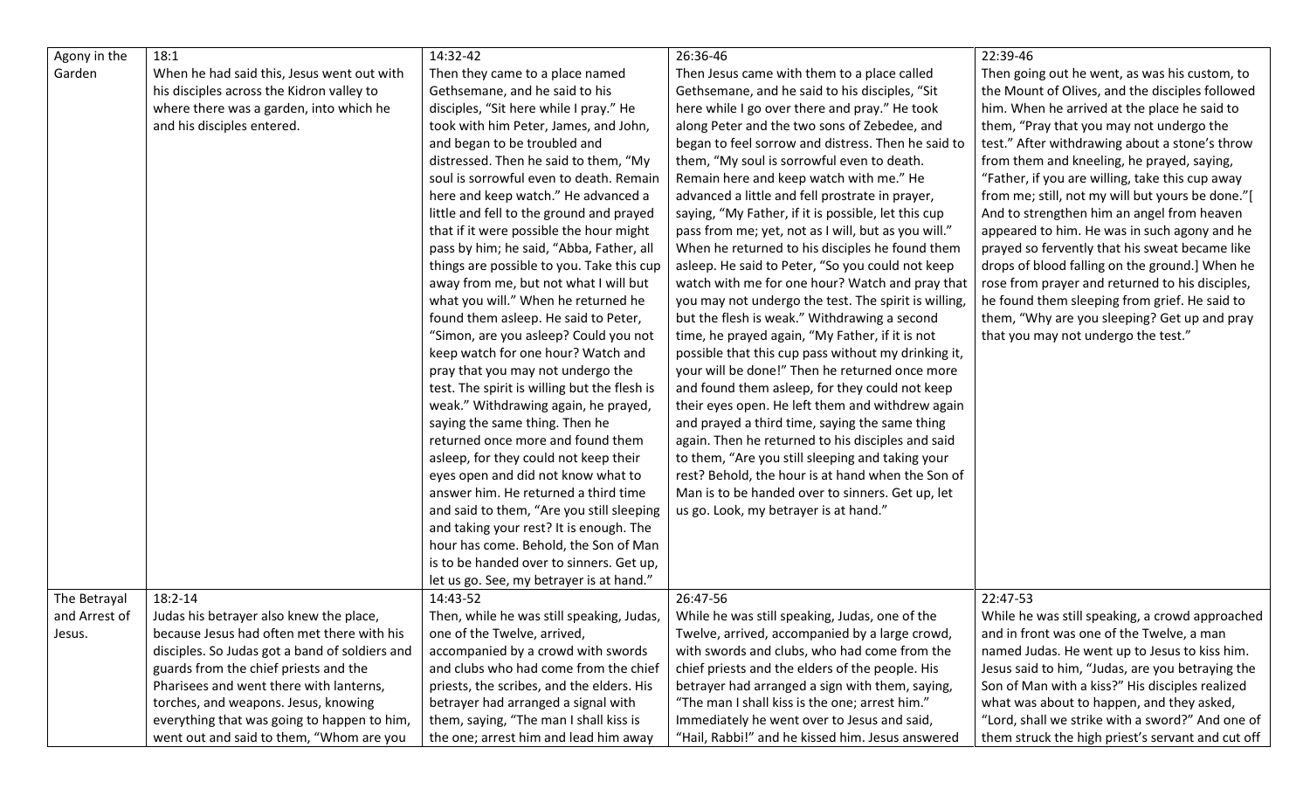| 14:32-42<br>22:39-46<br>Agony in the<br>26:36-46<br>18:1<br>Garden<br>Then they came to a place named<br>Then going out he went, as was his custom, to<br>When he had said this, Jesus went out with<br>Then Jesus came with them to a place called<br>his disciples across the Kidron valley to<br>Gethsemane, and he said to his<br>Gethsemane, and he said to his disciples, "Sit<br>the Mount of Olives, and the disciples followed<br>where there was a garden, into which he<br>disciples, "Sit here while I pray." He<br>here while I go over there and pray." He took<br>him. When he arrived at the place he said to<br>and his disciples entered.<br>took with him Peter, James, and John,<br>along Peter and the two sons of Zebedee, and<br>them, "Pray that you may not undergo the<br>and began to be troubled and<br>began to feel sorrow and distress. Then he said to<br>test." After withdrawing about a stone's throw<br>distressed. Then he said to them, "My<br>them, "My soul is sorrowful even to death.<br>from them and kneeling, he prayed, saying,<br>soul is sorrowful even to death. Remain<br>Remain here and keep watch with me." He<br>"Father, if you are willing, take this cup away<br>here and keep watch." He advanced a<br>advanced a little and fell prostrate in prayer,<br>from me; still, not my will but yours be done."[<br>little and fell to the ground and prayed<br>saying, "My Father, if it is possible, let this cup<br>And to strengthen him an angel from heaven<br>that if it were possible the hour might<br>pass from me; yet, not as I will, but as you will."<br>appeared to him. He was in such agony and he<br>pass by him; he said, "Abba, Father, all<br>When he returned to his disciples he found them<br>prayed so fervently that his sweat became like<br>things are possible to you. Take this cup<br>asleep. He said to Peter, "So you could not keep<br>drops of blood falling on the ground.] When he<br>away from me, but not what I will but<br>watch with me for one hour? Watch and pray that<br>rose from prayer and returned to his disciples,<br>what you will." When he returned he<br>he found them sleeping from grief. He said to<br>you may not undergo the test. The spirit is willing,<br>found them asleep. He said to Peter,<br>them, "Why are you sleeping? Get up and pray<br>but the flesh is weak." Withdrawing a second<br>"Simon, are you asleep? Could you not<br>time, he prayed again, "My Father, if it is not<br>that you may not undergo the test."<br>keep watch for one hour? Watch and<br>possible that this cup pass without my drinking it,<br>pray that you may not undergo the<br>your will be done!" Then he returned once more<br>test. The spirit is willing but the flesh is<br>and found them asleep, for they could not keep<br>weak." Withdrawing again, he prayed,<br>their eyes open. He left them and withdrew again<br>saying the same thing. Then he<br>and prayed a third time, saying the same thing<br>returned once more and found them<br>again. Then he returned to his disciples and said<br>asleep, for they could not keep their<br>to them, "Are you still sleeping and taking your<br>eyes open and did not know what to<br>rest? Behold, the hour is at hand when the Son of<br>answer him. He returned a third time<br>Man is to be handed over to sinners. Get up, let<br>and said to them, "Are you still sleeping<br>us go. Look, my betrayer is at hand."<br>and taking your rest? It is enough. The<br>hour has come. Behold, the Son of Man<br>is to be handed over to sinners. Get up,<br>let us go. See, my betrayer is at hand."<br>26:47-56<br>$18:2 - 14$<br>22:47-53<br>The Betrayal<br>14:43-52<br>and Arrest of<br>Judas his betrayer also knew the place,<br>Then, while he was still speaking, Judas,<br>While he was still speaking, Judas, one of the<br>While he was still speaking, a crowd approached<br>because Jesus had often met there with his<br>and in front was one of the Twelve, a man<br>one of the Twelve, arrived,<br>Twelve, arrived, accompanied by a large crowd,<br>Jesus.<br>with swords and clubs, who had come from the<br>disciples. So Judas got a band of soldiers and<br>accompanied by a crowd with swords<br>named Judas. He went up to Jesus to kiss him.<br>and clubs who had come from the chief<br>chief priests and the elders of the people. His<br>Jesus said to him, "Judas, are you betraying the<br>guards from the chief priests and the<br>Pharisees and went there with lanterns,<br>priests, the scribes, and the elders. His<br>betrayer had arranged a sign with them, saying,<br>Son of Man with a kiss?" His disciples realized<br>"The man I shall kiss is the one; arrest him."<br>torches, and weapons. Jesus, knowing<br>betrayer had arranged a signal with<br>what was about to happen, and they asked,<br>everything that was going to happen to him,<br>Immediately he went over to Jesus and said,<br>"Lord, shall we strike with a sword?" And one of<br>them, saying, "The man I shall kiss is |                                          |                                       |                                                  |                                                   |
|--------------------------------------------------------------------------------------------------------------------------------------------------------------------------------------------------------------------------------------------------------------------------------------------------------------------------------------------------------------------------------------------------------------------------------------------------------------------------------------------------------------------------------------------------------------------------------------------------------------------------------------------------------------------------------------------------------------------------------------------------------------------------------------------------------------------------------------------------------------------------------------------------------------------------------------------------------------------------------------------------------------------------------------------------------------------------------------------------------------------------------------------------------------------------------------------------------------------------------------------------------------------------------------------------------------------------------------------------------------------------------------------------------------------------------------------------------------------------------------------------------------------------------------------------------------------------------------------------------------------------------------------------------------------------------------------------------------------------------------------------------------------------------------------------------------------------------------------------------------------------------------------------------------------------------------------------------------------------------------------------------------------------------------------------------------------------------------------------------------------------------------------------------------------------------------------------------------------------------------------------------------------------------------------------------------------------------------------------------------------------------------------------------------------------------------------------------------------------------------------------------------------------------------------------------------------------------------------------------------------------------------------------------------------------------------------------------------------------------------------------------------------------------------------------------------------------------------------------------------------------------------------------------------------------------------------------------------------------------------------------------------------------------------------------------------------------------------------------------------------------------------------------------------------------------------------------------------------------------------------------------------------------------------------------------------------------------------------------------------------------------------------------------------------------------------------------------------------------------------------------------------------------------------------------------------------------------------------------------------------------------------------------------------------------------------------------------------------------------------------------------------------------------------------------------------------------------------------------------------------------------------------------------------------------------------------------------------------------------------------------------------------------------------------------------------------------------------------------------------------------------------------------------------------------------------------------------------------------------------------------------------------------------------------------------------------------------------------------------------------------------------------------------------------------------------------------------------------------------------------------------------------------------------------------------------------------------------------------------------------------------------------------------------------------------------------------------------------------------------------------------------------------------------------------------------------------------------------------------------------------------------------------------------------------------------------------------------------------------------------------------------------------------------------------------------------------------------------------------------|------------------------------------------|---------------------------------------|--------------------------------------------------|---------------------------------------------------|
|                                                                                                                                                                                                                                                                                                                                                                                                                                                                                                                                                                                                                                                                                                                                                                                                                                                                                                                                                                                                                                                                                                                                                                                                                                                                                                                                                                                                                                                                                                                                                                                                                                                                                                                                                                                                                                                                                                                                                                                                                                                                                                                                                                                                                                                                                                                                                                                                                                                                                                                                                                                                                                                                                                                                                                                                                                                                                                                                                                                                                                                                                                                                                                                                                                                                                                                                                                                                                                                                                                                                                                                                                                                                                                                                                                                                                                                                                                                                                                                                                                                                                                                                                                                                                                                                                                                                                                                                                                                                                                                                                                                                                                                                                                                                                                                                                                                                                                                                                                                                                                                                                                              |                                          |                                       |                                                  |                                                   |
|                                                                                                                                                                                                                                                                                                                                                                                                                                                                                                                                                                                                                                                                                                                                                                                                                                                                                                                                                                                                                                                                                                                                                                                                                                                                                                                                                                                                                                                                                                                                                                                                                                                                                                                                                                                                                                                                                                                                                                                                                                                                                                                                                                                                                                                                                                                                                                                                                                                                                                                                                                                                                                                                                                                                                                                                                                                                                                                                                                                                                                                                                                                                                                                                                                                                                                                                                                                                                                                                                                                                                                                                                                                                                                                                                                                                                                                                                                                                                                                                                                                                                                                                                                                                                                                                                                                                                                                                                                                                                                                                                                                                                                                                                                                                                                                                                                                                                                                                                                                                                                                                                                              |                                          |                                       |                                                  |                                                   |
|                                                                                                                                                                                                                                                                                                                                                                                                                                                                                                                                                                                                                                                                                                                                                                                                                                                                                                                                                                                                                                                                                                                                                                                                                                                                                                                                                                                                                                                                                                                                                                                                                                                                                                                                                                                                                                                                                                                                                                                                                                                                                                                                                                                                                                                                                                                                                                                                                                                                                                                                                                                                                                                                                                                                                                                                                                                                                                                                                                                                                                                                                                                                                                                                                                                                                                                                                                                                                                                                                                                                                                                                                                                                                                                                                                                                                                                                                                                                                                                                                                                                                                                                                                                                                                                                                                                                                                                                                                                                                                                                                                                                                                                                                                                                                                                                                                                                                                                                                                                                                                                                                                              |                                          |                                       |                                                  |                                                   |
|                                                                                                                                                                                                                                                                                                                                                                                                                                                                                                                                                                                                                                                                                                                                                                                                                                                                                                                                                                                                                                                                                                                                                                                                                                                                                                                                                                                                                                                                                                                                                                                                                                                                                                                                                                                                                                                                                                                                                                                                                                                                                                                                                                                                                                                                                                                                                                                                                                                                                                                                                                                                                                                                                                                                                                                                                                                                                                                                                                                                                                                                                                                                                                                                                                                                                                                                                                                                                                                                                                                                                                                                                                                                                                                                                                                                                                                                                                                                                                                                                                                                                                                                                                                                                                                                                                                                                                                                                                                                                                                                                                                                                                                                                                                                                                                                                                                                                                                                                                                                                                                                                                              |                                          |                                       |                                                  |                                                   |
|                                                                                                                                                                                                                                                                                                                                                                                                                                                                                                                                                                                                                                                                                                                                                                                                                                                                                                                                                                                                                                                                                                                                                                                                                                                                                                                                                                                                                                                                                                                                                                                                                                                                                                                                                                                                                                                                                                                                                                                                                                                                                                                                                                                                                                                                                                                                                                                                                                                                                                                                                                                                                                                                                                                                                                                                                                                                                                                                                                                                                                                                                                                                                                                                                                                                                                                                                                                                                                                                                                                                                                                                                                                                                                                                                                                                                                                                                                                                                                                                                                                                                                                                                                                                                                                                                                                                                                                                                                                                                                                                                                                                                                                                                                                                                                                                                                                                                                                                                                                                                                                                                                              |                                          |                                       |                                                  |                                                   |
|                                                                                                                                                                                                                                                                                                                                                                                                                                                                                                                                                                                                                                                                                                                                                                                                                                                                                                                                                                                                                                                                                                                                                                                                                                                                                                                                                                                                                                                                                                                                                                                                                                                                                                                                                                                                                                                                                                                                                                                                                                                                                                                                                                                                                                                                                                                                                                                                                                                                                                                                                                                                                                                                                                                                                                                                                                                                                                                                                                                                                                                                                                                                                                                                                                                                                                                                                                                                                                                                                                                                                                                                                                                                                                                                                                                                                                                                                                                                                                                                                                                                                                                                                                                                                                                                                                                                                                                                                                                                                                                                                                                                                                                                                                                                                                                                                                                                                                                                                                                                                                                                                                              |                                          |                                       |                                                  |                                                   |
|                                                                                                                                                                                                                                                                                                                                                                                                                                                                                                                                                                                                                                                                                                                                                                                                                                                                                                                                                                                                                                                                                                                                                                                                                                                                                                                                                                                                                                                                                                                                                                                                                                                                                                                                                                                                                                                                                                                                                                                                                                                                                                                                                                                                                                                                                                                                                                                                                                                                                                                                                                                                                                                                                                                                                                                                                                                                                                                                                                                                                                                                                                                                                                                                                                                                                                                                                                                                                                                                                                                                                                                                                                                                                                                                                                                                                                                                                                                                                                                                                                                                                                                                                                                                                                                                                                                                                                                                                                                                                                                                                                                                                                                                                                                                                                                                                                                                                                                                                                                                                                                                                                              |                                          |                                       |                                                  |                                                   |
|                                                                                                                                                                                                                                                                                                                                                                                                                                                                                                                                                                                                                                                                                                                                                                                                                                                                                                                                                                                                                                                                                                                                                                                                                                                                                                                                                                                                                                                                                                                                                                                                                                                                                                                                                                                                                                                                                                                                                                                                                                                                                                                                                                                                                                                                                                                                                                                                                                                                                                                                                                                                                                                                                                                                                                                                                                                                                                                                                                                                                                                                                                                                                                                                                                                                                                                                                                                                                                                                                                                                                                                                                                                                                                                                                                                                                                                                                                                                                                                                                                                                                                                                                                                                                                                                                                                                                                                                                                                                                                                                                                                                                                                                                                                                                                                                                                                                                                                                                                                                                                                                                                              |                                          |                                       |                                                  |                                                   |
|                                                                                                                                                                                                                                                                                                                                                                                                                                                                                                                                                                                                                                                                                                                                                                                                                                                                                                                                                                                                                                                                                                                                                                                                                                                                                                                                                                                                                                                                                                                                                                                                                                                                                                                                                                                                                                                                                                                                                                                                                                                                                                                                                                                                                                                                                                                                                                                                                                                                                                                                                                                                                                                                                                                                                                                                                                                                                                                                                                                                                                                                                                                                                                                                                                                                                                                                                                                                                                                                                                                                                                                                                                                                                                                                                                                                                                                                                                                                                                                                                                                                                                                                                                                                                                                                                                                                                                                                                                                                                                                                                                                                                                                                                                                                                                                                                                                                                                                                                                                                                                                                                                              |                                          |                                       |                                                  |                                                   |
|                                                                                                                                                                                                                                                                                                                                                                                                                                                                                                                                                                                                                                                                                                                                                                                                                                                                                                                                                                                                                                                                                                                                                                                                                                                                                                                                                                                                                                                                                                                                                                                                                                                                                                                                                                                                                                                                                                                                                                                                                                                                                                                                                                                                                                                                                                                                                                                                                                                                                                                                                                                                                                                                                                                                                                                                                                                                                                                                                                                                                                                                                                                                                                                                                                                                                                                                                                                                                                                                                                                                                                                                                                                                                                                                                                                                                                                                                                                                                                                                                                                                                                                                                                                                                                                                                                                                                                                                                                                                                                                                                                                                                                                                                                                                                                                                                                                                                                                                                                                                                                                                                                              |                                          |                                       |                                                  |                                                   |
|                                                                                                                                                                                                                                                                                                                                                                                                                                                                                                                                                                                                                                                                                                                                                                                                                                                                                                                                                                                                                                                                                                                                                                                                                                                                                                                                                                                                                                                                                                                                                                                                                                                                                                                                                                                                                                                                                                                                                                                                                                                                                                                                                                                                                                                                                                                                                                                                                                                                                                                                                                                                                                                                                                                                                                                                                                                                                                                                                                                                                                                                                                                                                                                                                                                                                                                                                                                                                                                                                                                                                                                                                                                                                                                                                                                                                                                                                                                                                                                                                                                                                                                                                                                                                                                                                                                                                                                                                                                                                                                                                                                                                                                                                                                                                                                                                                                                                                                                                                                                                                                                                                              |                                          |                                       |                                                  |                                                   |
|                                                                                                                                                                                                                                                                                                                                                                                                                                                                                                                                                                                                                                                                                                                                                                                                                                                                                                                                                                                                                                                                                                                                                                                                                                                                                                                                                                                                                                                                                                                                                                                                                                                                                                                                                                                                                                                                                                                                                                                                                                                                                                                                                                                                                                                                                                                                                                                                                                                                                                                                                                                                                                                                                                                                                                                                                                                                                                                                                                                                                                                                                                                                                                                                                                                                                                                                                                                                                                                                                                                                                                                                                                                                                                                                                                                                                                                                                                                                                                                                                                                                                                                                                                                                                                                                                                                                                                                                                                                                                                                                                                                                                                                                                                                                                                                                                                                                                                                                                                                                                                                                                                              |                                          |                                       |                                                  |                                                   |
|                                                                                                                                                                                                                                                                                                                                                                                                                                                                                                                                                                                                                                                                                                                                                                                                                                                                                                                                                                                                                                                                                                                                                                                                                                                                                                                                                                                                                                                                                                                                                                                                                                                                                                                                                                                                                                                                                                                                                                                                                                                                                                                                                                                                                                                                                                                                                                                                                                                                                                                                                                                                                                                                                                                                                                                                                                                                                                                                                                                                                                                                                                                                                                                                                                                                                                                                                                                                                                                                                                                                                                                                                                                                                                                                                                                                                                                                                                                                                                                                                                                                                                                                                                                                                                                                                                                                                                                                                                                                                                                                                                                                                                                                                                                                                                                                                                                                                                                                                                                                                                                                                                              |                                          |                                       |                                                  |                                                   |
|                                                                                                                                                                                                                                                                                                                                                                                                                                                                                                                                                                                                                                                                                                                                                                                                                                                                                                                                                                                                                                                                                                                                                                                                                                                                                                                                                                                                                                                                                                                                                                                                                                                                                                                                                                                                                                                                                                                                                                                                                                                                                                                                                                                                                                                                                                                                                                                                                                                                                                                                                                                                                                                                                                                                                                                                                                                                                                                                                                                                                                                                                                                                                                                                                                                                                                                                                                                                                                                                                                                                                                                                                                                                                                                                                                                                                                                                                                                                                                                                                                                                                                                                                                                                                                                                                                                                                                                                                                                                                                                                                                                                                                                                                                                                                                                                                                                                                                                                                                                                                                                                                                              |                                          |                                       |                                                  |                                                   |
|                                                                                                                                                                                                                                                                                                                                                                                                                                                                                                                                                                                                                                                                                                                                                                                                                                                                                                                                                                                                                                                                                                                                                                                                                                                                                                                                                                                                                                                                                                                                                                                                                                                                                                                                                                                                                                                                                                                                                                                                                                                                                                                                                                                                                                                                                                                                                                                                                                                                                                                                                                                                                                                                                                                                                                                                                                                                                                                                                                                                                                                                                                                                                                                                                                                                                                                                                                                                                                                                                                                                                                                                                                                                                                                                                                                                                                                                                                                                                                                                                                                                                                                                                                                                                                                                                                                                                                                                                                                                                                                                                                                                                                                                                                                                                                                                                                                                                                                                                                                                                                                                                                              |                                          |                                       |                                                  |                                                   |
|                                                                                                                                                                                                                                                                                                                                                                                                                                                                                                                                                                                                                                                                                                                                                                                                                                                                                                                                                                                                                                                                                                                                                                                                                                                                                                                                                                                                                                                                                                                                                                                                                                                                                                                                                                                                                                                                                                                                                                                                                                                                                                                                                                                                                                                                                                                                                                                                                                                                                                                                                                                                                                                                                                                                                                                                                                                                                                                                                                                                                                                                                                                                                                                                                                                                                                                                                                                                                                                                                                                                                                                                                                                                                                                                                                                                                                                                                                                                                                                                                                                                                                                                                                                                                                                                                                                                                                                                                                                                                                                                                                                                                                                                                                                                                                                                                                                                                                                                                                                                                                                                                                              |                                          |                                       |                                                  |                                                   |
|                                                                                                                                                                                                                                                                                                                                                                                                                                                                                                                                                                                                                                                                                                                                                                                                                                                                                                                                                                                                                                                                                                                                                                                                                                                                                                                                                                                                                                                                                                                                                                                                                                                                                                                                                                                                                                                                                                                                                                                                                                                                                                                                                                                                                                                                                                                                                                                                                                                                                                                                                                                                                                                                                                                                                                                                                                                                                                                                                                                                                                                                                                                                                                                                                                                                                                                                                                                                                                                                                                                                                                                                                                                                                                                                                                                                                                                                                                                                                                                                                                                                                                                                                                                                                                                                                                                                                                                                                                                                                                                                                                                                                                                                                                                                                                                                                                                                                                                                                                                                                                                                                                              |                                          |                                       |                                                  |                                                   |
|                                                                                                                                                                                                                                                                                                                                                                                                                                                                                                                                                                                                                                                                                                                                                                                                                                                                                                                                                                                                                                                                                                                                                                                                                                                                                                                                                                                                                                                                                                                                                                                                                                                                                                                                                                                                                                                                                                                                                                                                                                                                                                                                                                                                                                                                                                                                                                                                                                                                                                                                                                                                                                                                                                                                                                                                                                                                                                                                                                                                                                                                                                                                                                                                                                                                                                                                                                                                                                                                                                                                                                                                                                                                                                                                                                                                                                                                                                                                                                                                                                                                                                                                                                                                                                                                                                                                                                                                                                                                                                                                                                                                                                                                                                                                                                                                                                                                                                                                                                                                                                                                                                              |                                          |                                       |                                                  |                                                   |
|                                                                                                                                                                                                                                                                                                                                                                                                                                                                                                                                                                                                                                                                                                                                                                                                                                                                                                                                                                                                                                                                                                                                                                                                                                                                                                                                                                                                                                                                                                                                                                                                                                                                                                                                                                                                                                                                                                                                                                                                                                                                                                                                                                                                                                                                                                                                                                                                                                                                                                                                                                                                                                                                                                                                                                                                                                                                                                                                                                                                                                                                                                                                                                                                                                                                                                                                                                                                                                                                                                                                                                                                                                                                                                                                                                                                                                                                                                                                                                                                                                                                                                                                                                                                                                                                                                                                                                                                                                                                                                                                                                                                                                                                                                                                                                                                                                                                                                                                                                                                                                                                                                              |                                          |                                       |                                                  |                                                   |
|                                                                                                                                                                                                                                                                                                                                                                                                                                                                                                                                                                                                                                                                                                                                                                                                                                                                                                                                                                                                                                                                                                                                                                                                                                                                                                                                                                                                                                                                                                                                                                                                                                                                                                                                                                                                                                                                                                                                                                                                                                                                                                                                                                                                                                                                                                                                                                                                                                                                                                                                                                                                                                                                                                                                                                                                                                                                                                                                                                                                                                                                                                                                                                                                                                                                                                                                                                                                                                                                                                                                                                                                                                                                                                                                                                                                                                                                                                                                                                                                                                                                                                                                                                                                                                                                                                                                                                                                                                                                                                                                                                                                                                                                                                                                                                                                                                                                                                                                                                                                                                                                                                              |                                          |                                       |                                                  |                                                   |
|                                                                                                                                                                                                                                                                                                                                                                                                                                                                                                                                                                                                                                                                                                                                                                                                                                                                                                                                                                                                                                                                                                                                                                                                                                                                                                                                                                                                                                                                                                                                                                                                                                                                                                                                                                                                                                                                                                                                                                                                                                                                                                                                                                                                                                                                                                                                                                                                                                                                                                                                                                                                                                                                                                                                                                                                                                                                                                                                                                                                                                                                                                                                                                                                                                                                                                                                                                                                                                                                                                                                                                                                                                                                                                                                                                                                                                                                                                                                                                                                                                                                                                                                                                                                                                                                                                                                                                                                                                                                                                                                                                                                                                                                                                                                                                                                                                                                                                                                                                                                                                                                                                              |                                          |                                       |                                                  |                                                   |
|                                                                                                                                                                                                                                                                                                                                                                                                                                                                                                                                                                                                                                                                                                                                                                                                                                                                                                                                                                                                                                                                                                                                                                                                                                                                                                                                                                                                                                                                                                                                                                                                                                                                                                                                                                                                                                                                                                                                                                                                                                                                                                                                                                                                                                                                                                                                                                                                                                                                                                                                                                                                                                                                                                                                                                                                                                                                                                                                                                                                                                                                                                                                                                                                                                                                                                                                                                                                                                                                                                                                                                                                                                                                                                                                                                                                                                                                                                                                                                                                                                                                                                                                                                                                                                                                                                                                                                                                                                                                                                                                                                                                                                                                                                                                                                                                                                                                                                                                                                                                                                                                                                              |                                          |                                       |                                                  |                                                   |
|                                                                                                                                                                                                                                                                                                                                                                                                                                                                                                                                                                                                                                                                                                                                                                                                                                                                                                                                                                                                                                                                                                                                                                                                                                                                                                                                                                                                                                                                                                                                                                                                                                                                                                                                                                                                                                                                                                                                                                                                                                                                                                                                                                                                                                                                                                                                                                                                                                                                                                                                                                                                                                                                                                                                                                                                                                                                                                                                                                                                                                                                                                                                                                                                                                                                                                                                                                                                                                                                                                                                                                                                                                                                                                                                                                                                                                                                                                                                                                                                                                                                                                                                                                                                                                                                                                                                                                                                                                                                                                                                                                                                                                                                                                                                                                                                                                                                                                                                                                                                                                                                                                              |                                          |                                       |                                                  |                                                   |
|                                                                                                                                                                                                                                                                                                                                                                                                                                                                                                                                                                                                                                                                                                                                                                                                                                                                                                                                                                                                                                                                                                                                                                                                                                                                                                                                                                                                                                                                                                                                                                                                                                                                                                                                                                                                                                                                                                                                                                                                                                                                                                                                                                                                                                                                                                                                                                                                                                                                                                                                                                                                                                                                                                                                                                                                                                                                                                                                                                                                                                                                                                                                                                                                                                                                                                                                                                                                                                                                                                                                                                                                                                                                                                                                                                                                                                                                                                                                                                                                                                                                                                                                                                                                                                                                                                                                                                                                                                                                                                                                                                                                                                                                                                                                                                                                                                                                                                                                                                                                                                                                                                              |                                          |                                       |                                                  |                                                   |
|                                                                                                                                                                                                                                                                                                                                                                                                                                                                                                                                                                                                                                                                                                                                                                                                                                                                                                                                                                                                                                                                                                                                                                                                                                                                                                                                                                                                                                                                                                                                                                                                                                                                                                                                                                                                                                                                                                                                                                                                                                                                                                                                                                                                                                                                                                                                                                                                                                                                                                                                                                                                                                                                                                                                                                                                                                                                                                                                                                                                                                                                                                                                                                                                                                                                                                                                                                                                                                                                                                                                                                                                                                                                                                                                                                                                                                                                                                                                                                                                                                                                                                                                                                                                                                                                                                                                                                                                                                                                                                                                                                                                                                                                                                                                                                                                                                                                                                                                                                                                                                                                                                              |                                          |                                       |                                                  |                                                   |
|                                                                                                                                                                                                                                                                                                                                                                                                                                                                                                                                                                                                                                                                                                                                                                                                                                                                                                                                                                                                                                                                                                                                                                                                                                                                                                                                                                                                                                                                                                                                                                                                                                                                                                                                                                                                                                                                                                                                                                                                                                                                                                                                                                                                                                                                                                                                                                                                                                                                                                                                                                                                                                                                                                                                                                                                                                                                                                                                                                                                                                                                                                                                                                                                                                                                                                                                                                                                                                                                                                                                                                                                                                                                                                                                                                                                                                                                                                                                                                                                                                                                                                                                                                                                                                                                                                                                                                                                                                                                                                                                                                                                                                                                                                                                                                                                                                                                                                                                                                                                                                                                                                              |                                          |                                       |                                                  |                                                   |
|                                                                                                                                                                                                                                                                                                                                                                                                                                                                                                                                                                                                                                                                                                                                                                                                                                                                                                                                                                                                                                                                                                                                                                                                                                                                                                                                                                                                                                                                                                                                                                                                                                                                                                                                                                                                                                                                                                                                                                                                                                                                                                                                                                                                                                                                                                                                                                                                                                                                                                                                                                                                                                                                                                                                                                                                                                                                                                                                                                                                                                                                                                                                                                                                                                                                                                                                                                                                                                                                                                                                                                                                                                                                                                                                                                                                                                                                                                                                                                                                                                                                                                                                                                                                                                                                                                                                                                                                                                                                                                                                                                                                                                                                                                                                                                                                                                                                                                                                                                                                                                                                                                              |                                          |                                       |                                                  |                                                   |
|                                                                                                                                                                                                                                                                                                                                                                                                                                                                                                                                                                                                                                                                                                                                                                                                                                                                                                                                                                                                                                                                                                                                                                                                                                                                                                                                                                                                                                                                                                                                                                                                                                                                                                                                                                                                                                                                                                                                                                                                                                                                                                                                                                                                                                                                                                                                                                                                                                                                                                                                                                                                                                                                                                                                                                                                                                                                                                                                                                                                                                                                                                                                                                                                                                                                                                                                                                                                                                                                                                                                                                                                                                                                                                                                                                                                                                                                                                                                                                                                                                                                                                                                                                                                                                                                                                                                                                                                                                                                                                                                                                                                                                                                                                                                                                                                                                                                                                                                                                                                                                                                                                              |                                          |                                       |                                                  |                                                   |
|                                                                                                                                                                                                                                                                                                                                                                                                                                                                                                                                                                                                                                                                                                                                                                                                                                                                                                                                                                                                                                                                                                                                                                                                                                                                                                                                                                                                                                                                                                                                                                                                                                                                                                                                                                                                                                                                                                                                                                                                                                                                                                                                                                                                                                                                                                                                                                                                                                                                                                                                                                                                                                                                                                                                                                                                                                                                                                                                                                                                                                                                                                                                                                                                                                                                                                                                                                                                                                                                                                                                                                                                                                                                                                                                                                                                                                                                                                                                                                                                                                                                                                                                                                                                                                                                                                                                                                                                                                                                                                                                                                                                                                                                                                                                                                                                                                                                                                                                                                                                                                                                                                              |                                          |                                       |                                                  |                                                   |
|                                                                                                                                                                                                                                                                                                                                                                                                                                                                                                                                                                                                                                                                                                                                                                                                                                                                                                                                                                                                                                                                                                                                                                                                                                                                                                                                                                                                                                                                                                                                                                                                                                                                                                                                                                                                                                                                                                                                                                                                                                                                                                                                                                                                                                                                                                                                                                                                                                                                                                                                                                                                                                                                                                                                                                                                                                                                                                                                                                                                                                                                                                                                                                                                                                                                                                                                                                                                                                                                                                                                                                                                                                                                                                                                                                                                                                                                                                                                                                                                                                                                                                                                                                                                                                                                                                                                                                                                                                                                                                                                                                                                                                                                                                                                                                                                                                                                                                                                                                                                                                                                                                              |                                          |                                       |                                                  |                                                   |
|                                                                                                                                                                                                                                                                                                                                                                                                                                                                                                                                                                                                                                                                                                                                                                                                                                                                                                                                                                                                                                                                                                                                                                                                                                                                                                                                                                                                                                                                                                                                                                                                                                                                                                                                                                                                                                                                                                                                                                                                                                                                                                                                                                                                                                                                                                                                                                                                                                                                                                                                                                                                                                                                                                                                                                                                                                                                                                                                                                                                                                                                                                                                                                                                                                                                                                                                                                                                                                                                                                                                                                                                                                                                                                                                                                                                                                                                                                                                                                                                                                                                                                                                                                                                                                                                                                                                                                                                                                                                                                                                                                                                                                                                                                                                                                                                                                                                                                                                                                                                                                                                                                              |                                          |                                       |                                                  |                                                   |
|                                                                                                                                                                                                                                                                                                                                                                                                                                                                                                                                                                                                                                                                                                                                                                                                                                                                                                                                                                                                                                                                                                                                                                                                                                                                                                                                                                                                                                                                                                                                                                                                                                                                                                                                                                                                                                                                                                                                                                                                                                                                                                                                                                                                                                                                                                                                                                                                                                                                                                                                                                                                                                                                                                                                                                                                                                                                                                                                                                                                                                                                                                                                                                                                                                                                                                                                                                                                                                                                                                                                                                                                                                                                                                                                                                                                                                                                                                                                                                                                                                                                                                                                                                                                                                                                                                                                                                                                                                                                                                                                                                                                                                                                                                                                                                                                                                                                                                                                                                                                                                                                                                              |                                          |                                       |                                                  |                                                   |
|                                                                                                                                                                                                                                                                                                                                                                                                                                                                                                                                                                                                                                                                                                                                                                                                                                                                                                                                                                                                                                                                                                                                                                                                                                                                                                                                                                                                                                                                                                                                                                                                                                                                                                                                                                                                                                                                                                                                                                                                                                                                                                                                                                                                                                                                                                                                                                                                                                                                                                                                                                                                                                                                                                                                                                                                                                                                                                                                                                                                                                                                                                                                                                                                                                                                                                                                                                                                                                                                                                                                                                                                                                                                                                                                                                                                                                                                                                                                                                                                                                                                                                                                                                                                                                                                                                                                                                                                                                                                                                                                                                                                                                                                                                                                                                                                                                                                                                                                                                                                                                                                                                              |                                          |                                       |                                                  |                                                   |
|                                                                                                                                                                                                                                                                                                                                                                                                                                                                                                                                                                                                                                                                                                                                                                                                                                                                                                                                                                                                                                                                                                                                                                                                                                                                                                                                                                                                                                                                                                                                                                                                                                                                                                                                                                                                                                                                                                                                                                                                                                                                                                                                                                                                                                                                                                                                                                                                                                                                                                                                                                                                                                                                                                                                                                                                                                                                                                                                                                                                                                                                                                                                                                                                                                                                                                                                                                                                                                                                                                                                                                                                                                                                                                                                                                                                                                                                                                                                                                                                                                                                                                                                                                                                                                                                                                                                                                                                                                                                                                                                                                                                                                                                                                                                                                                                                                                                                                                                                                                                                                                                                                              |                                          |                                       |                                                  |                                                   |
|                                                                                                                                                                                                                                                                                                                                                                                                                                                                                                                                                                                                                                                                                                                                                                                                                                                                                                                                                                                                                                                                                                                                                                                                                                                                                                                                                                                                                                                                                                                                                                                                                                                                                                                                                                                                                                                                                                                                                                                                                                                                                                                                                                                                                                                                                                                                                                                                                                                                                                                                                                                                                                                                                                                                                                                                                                                                                                                                                                                                                                                                                                                                                                                                                                                                                                                                                                                                                                                                                                                                                                                                                                                                                                                                                                                                                                                                                                                                                                                                                                                                                                                                                                                                                                                                                                                                                                                                                                                                                                                                                                                                                                                                                                                                                                                                                                                                                                                                                                                                                                                                                                              |                                          |                                       |                                                  |                                                   |
|                                                                                                                                                                                                                                                                                                                                                                                                                                                                                                                                                                                                                                                                                                                                                                                                                                                                                                                                                                                                                                                                                                                                                                                                                                                                                                                                                                                                                                                                                                                                                                                                                                                                                                                                                                                                                                                                                                                                                                                                                                                                                                                                                                                                                                                                                                                                                                                                                                                                                                                                                                                                                                                                                                                                                                                                                                                                                                                                                                                                                                                                                                                                                                                                                                                                                                                                                                                                                                                                                                                                                                                                                                                                                                                                                                                                                                                                                                                                                                                                                                                                                                                                                                                                                                                                                                                                                                                                                                                                                                                                                                                                                                                                                                                                                                                                                                                                                                                                                                                                                                                                                                              |                                          |                                       |                                                  |                                                   |
|                                                                                                                                                                                                                                                                                                                                                                                                                                                                                                                                                                                                                                                                                                                                                                                                                                                                                                                                                                                                                                                                                                                                                                                                                                                                                                                                                                                                                                                                                                                                                                                                                                                                                                                                                                                                                                                                                                                                                                                                                                                                                                                                                                                                                                                                                                                                                                                                                                                                                                                                                                                                                                                                                                                                                                                                                                                                                                                                                                                                                                                                                                                                                                                                                                                                                                                                                                                                                                                                                                                                                                                                                                                                                                                                                                                                                                                                                                                                                                                                                                                                                                                                                                                                                                                                                                                                                                                                                                                                                                                                                                                                                                                                                                                                                                                                                                                                                                                                                                                                                                                                                                              |                                          |                                       |                                                  |                                                   |
|                                                                                                                                                                                                                                                                                                                                                                                                                                                                                                                                                                                                                                                                                                                                                                                                                                                                                                                                                                                                                                                                                                                                                                                                                                                                                                                                                                                                                                                                                                                                                                                                                                                                                                                                                                                                                                                                                                                                                                                                                                                                                                                                                                                                                                                                                                                                                                                                                                                                                                                                                                                                                                                                                                                                                                                                                                                                                                                                                                                                                                                                                                                                                                                                                                                                                                                                                                                                                                                                                                                                                                                                                                                                                                                                                                                                                                                                                                                                                                                                                                                                                                                                                                                                                                                                                                                                                                                                                                                                                                                                                                                                                                                                                                                                                                                                                                                                                                                                                                                                                                                                                                              |                                          |                                       |                                                  |                                                   |
|                                                                                                                                                                                                                                                                                                                                                                                                                                                                                                                                                                                                                                                                                                                                                                                                                                                                                                                                                                                                                                                                                                                                                                                                                                                                                                                                                                                                                                                                                                                                                                                                                                                                                                                                                                                                                                                                                                                                                                                                                                                                                                                                                                                                                                                                                                                                                                                                                                                                                                                                                                                                                                                                                                                                                                                                                                                                                                                                                                                                                                                                                                                                                                                                                                                                                                                                                                                                                                                                                                                                                                                                                                                                                                                                                                                                                                                                                                                                                                                                                                                                                                                                                                                                                                                                                                                                                                                                                                                                                                                                                                                                                                                                                                                                                                                                                                                                                                                                                                                                                                                                                                              |                                          |                                       |                                                  |                                                   |
|                                                                                                                                                                                                                                                                                                                                                                                                                                                                                                                                                                                                                                                                                                                                                                                                                                                                                                                                                                                                                                                                                                                                                                                                                                                                                                                                                                                                                                                                                                                                                                                                                                                                                                                                                                                                                                                                                                                                                                                                                                                                                                                                                                                                                                                                                                                                                                                                                                                                                                                                                                                                                                                                                                                                                                                                                                                                                                                                                                                                                                                                                                                                                                                                                                                                                                                                                                                                                                                                                                                                                                                                                                                                                                                                                                                                                                                                                                                                                                                                                                                                                                                                                                                                                                                                                                                                                                                                                                                                                                                                                                                                                                                                                                                                                                                                                                                                                                                                                                                                                                                                                                              | went out and said to them, "Whom are you | the one; arrest him and lead him away | "Hail, Rabbi!" and he kissed him. Jesus answered | them struck the high priest's servant and cut off |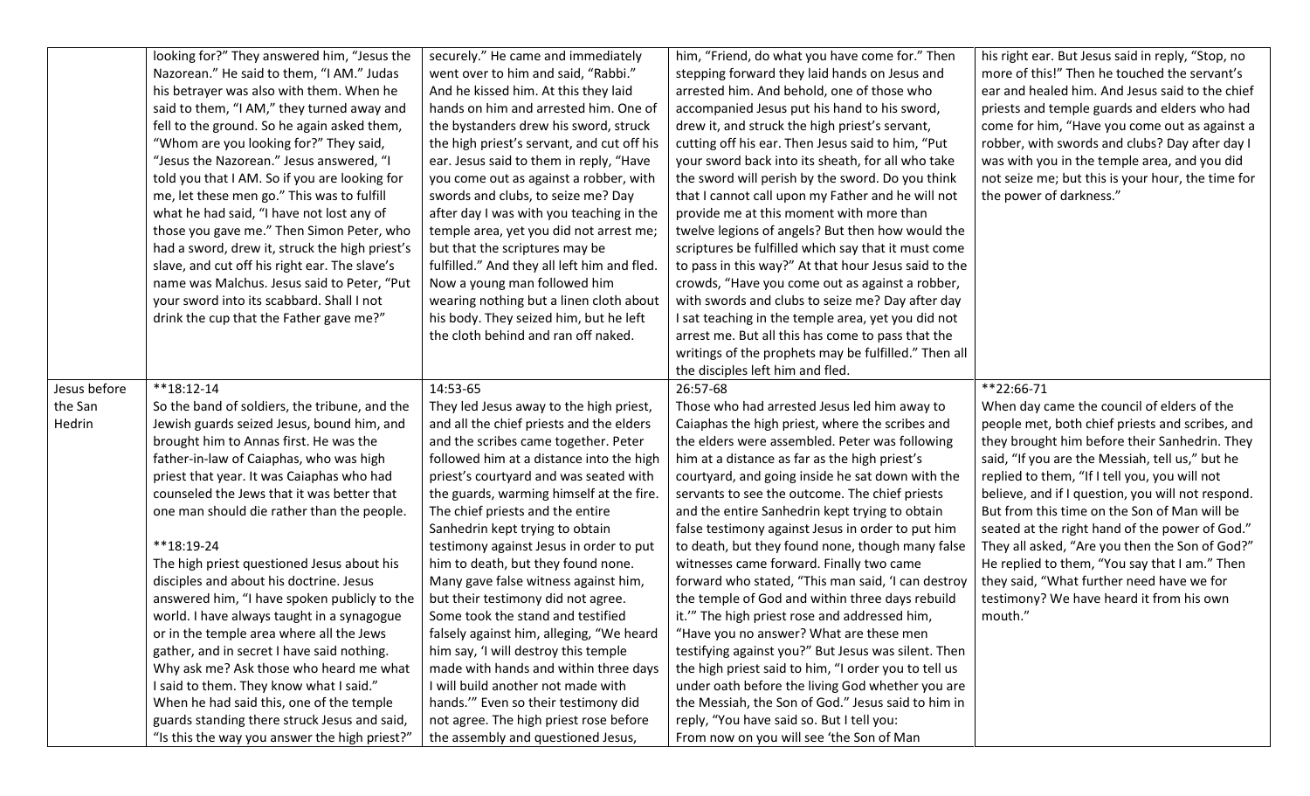|                   | looking for?" They answered him, "Jesus the<br>Nazorean." He said to them, "I AM." Judas<br>his betrayer was also with them. When he<br>said to them, "I AM," they turned away and<br>fell to the ground. So he again asked them,<br>"Whom are you looking for?" They said,<br>"Jesus the Nazorean." Jesus answered, "I<br>told you that I AM. So if you are looking for<br>me, let these men go." This was to fulfill<br>what he had said, "I have not lost any of<br>those you gave me." Then Simon Peter, who<br>had a sword, drew it, struck the high priest's<br>slave, and cut off his right ear. The slave's<br>name was Malchus. Jesus said to Peter, "Put<br>your sword into its scabbard. Shall I not<br>drink the cup that the Father gave me?" | securely." He came and immediately<br>went over to him and said, "Rabbi."<br>And he kissed him. At this they laid<br>hands on him and arrested him. One of<br>the bystanders drew his sword, struck<br>the high priest's servant, and cut off his<br>ear. Jesus said to them in reply, "Have<br>you come out as against a robber, with<br>swords and clubs, to seize me? Day<br>after day I was with you teaching in the<br>temple area, yet you did not arrest me;<br>but that the scriptures may be<br>fulfilled." And they all left him and fled.<br>Now a young man followed him<br>wearing nothing but a linen cloth about<br>his body. They seized him, but he left<br>the cloth behind and ran off naked. | him, "Friend, do what you have come for." Then<br>stepping forward they laid hands on Jesus and<br>arrested him. And behold, one of those who<br>accompanied Jesus put his hand to his sword,<br>drew it, and struck the high priest's servant,<br>cutting off his ear. Then Jesus said to him, "Put<br>your sword back into its sheath, for all who take<br>the sword will perish by the sword. Do you think<br>that I cannot call upon my Father and he will not<br>provide me at this moment with more than<br>twelve legions of angels? But then how would the<br>scriptures be fulfilled which say that it must come<br>to pass in this way?" At that hour Jesus said to the<br>crowds, "Have you come out as against a robber,<br>with swords and clubs to seize me? Day after day<br>I sat teaching in the temple area, yet you did not<br>arrest me. But all this has come to pass that the | his right ear. But Jesus said in reply, "Stop, no<br>more of this!" Then he touched the servant's<br>ear and healed him. And Jesus said to the chief<br>priests and temple guards and elders who had<br>come for him, "Have you come out as against a<br>robber, with swords and clubs? Day after day I<br>was with you in the temple area, and you did<br>not seize me; but this is your hour, the time for<br>the power of darkness." |
|-------------------|------------------------------------------------------------------------------------------------------------------------------------------------------------------------------------------------------------------------------------------------------------------------------------------------------------------------------------------------------------------------------------------------------------------------------------------------------------------------------------------------------------------------------------------------------------------------------------------------------------------------------------------------------------------------------------------------------------------------------------------------------------|------------------------------------------------------------------------------------------------------------------------------------------------------------------------------------------------------------------------------------------------------------------------------------------------------------------------------------------------------------------------------------------------------------------------------------------------------------------------------------------------------------------------------------------------------------------------------------------------------------------------------------------------------------------------------------------------------------------|-----------------------------------------------------------------------------------------------------------------------------------------------------------------------------------------------------------------------------------------------------------------------------------------------------------------------------------------------------------------------------------------------------------------------------------------------------------------------------------------------------------------------------------------------------------------------------------------------------------------------------------------------------------------------------------------------------------------------------------------------------------------------------------------------------------------------------------------------------------------------------------------------------|-----------------------------------------------------------------------------------------------------------------------------------------------------------------------------------------------------------------------------------------------------------------------------------------------------------------------------------------------------------------------------------------------------------------------------------------|
|                   |                                                                                                                                                                                                                                                                                                                                                                                                                                                                                                                                                                                                                                                                                                                                                            |                                                                                                                                                                                                                                                                                                                                                                                                                                                                                                                                                                                                                                                                                                                  | writings of the prophets may be fulfilled." Then all<br>the disciples left him and fled.                                                                                                                                                                                                                                                                                                                                                                                                                                                                                                                                                                                                                                                                                                                                                                                                            |                                                                                                                                                                                                                                                                                                                                                                                                                                         |
| Jesus before      | $**18:12-14$                                                                                                                                                                                                                                                                                                                                                                                                                                                                                                                                                                                                                                                                                                                                               | 14:53-65                                                                                                                                                                                                                                                                                                                                                                                                                                                                                                                                                                                                                                                                                                         | 26:57-68                                                                                                                                                                                                                                                                                                                                                                                                                                                                                                                                                                                                                                                                                                                                                                                                                                                                                            | **22:66-71                                                                                                                                                                                                                                                                                                                                                                                                                              |
| the San<br>Hedrin | So the band of soldiers, the tribune, and the<br>Jewish guards seized Jesus, bound him, and<br>brought him to Annas first. He was the<br>father-in-law of Caiaphas, who was high<br>priest that year. It was Caiaphas who had<br>counseled the Jews that it was better that<br>one man should die rather than the people.                                                                                                                                                                                                                                                                                                                                                                                                                                  | They led Jesus away to the high priest,<br>and all the chief priests and the elders<br>and the scribes came together. Peter<br>followed him at a distance into the high<br>priest's courtyard and was seated with<br>the guards, warming himself at the fire.<br>The chief priests and the entire<br>Sanhedrin kept trying to obtain                                                                                                                                                                                                                                                                                                                                                                             | Those who had arrested Jesus led him away to<br>Caiaphas the high priest, where the scribes and<br>the elders were assembled. Peter was following<br>him at a distance as far as the high priest's<br>courtyard, and going inside he sat down with the<br>servants to see the outcome. The chief priests<br>and the entire Sanhedrin kept trying to obtain<br>false testimony against Jesus in order to put him                                                                                                                                                                                                                                                                                                                                                                                                                                                                                     | When day came the council of elders of the<br>people met, both chief priests and scribes, and<br>they brought him before their Sanhedrin. They<br>said, "If you are the Messiah, tell us," but he<br>replied to them, "If I tell you, you will not<br>believe, and if I question, you will not respond.<br>But from this time on the Son of Man will be<br>seated at the right hand of the power of God."                               |
|                   | $**18:19-24$<br>The high priest questioned Jesus about his<br>disciples and about his doctrine. Jesus<br>answered him, "I have spoken publicly to the<br>world. I have always taught in a synagogue<br>or in the temple area where all the Jews<br>gather, and in secret I have said nothing.<br>Why ask me? Ask those who heard me what<br>I said to them. They know what I said."<br>When he had said this, one of the temple<br>guards standing there struck Jesus and said,<br>"Is this the way you answer the high priest?"                                                                                                                                                                                                                           | testimony against Jesus in order to put<br>him to death, but they found none.<br>Many gave false witness against him,<br>but their testimony did not agree.<br>Some took the stand and testified<br>falsely against him, alleging, "We heard<br>him say, 'I will destroy this temple<br>made with hands and within three days<br>I will build another not made with<br>hands." Even so their testimony did<br>not agree. The high priest rose before<br>the assembly and questioned Jesus,                                                                                                                                                                                                                       | to death, but they found none, though many false<br>witnesses came forward. Finally two came<br>forward who stated, "This man said, 'I can destroy<br>the temple of God and within three days rebuild<br>it." The high priest rose and addressed him,<br>"Have you no answer? What are these men<br>testifying against you?" But Jesus was silent. Then<br>the high priest said to him, "I order you to tell us<br>under oath before the living God whether you are<br>the Messiah, the Son of God." Jesus said to him in<br>reply, "You have said so. But I tell you:<br>From now on you will see 'the Son of Man                                                                                                                                                                                                                                                                                  | They all asked, "Are you then the Son of God?"<br>He replied to them, "You say that I am." Then<br>they said, "What further need have we for<br>testimony? We have heard it from his own<br>mouth."                                                                                                                                                                                                                                     |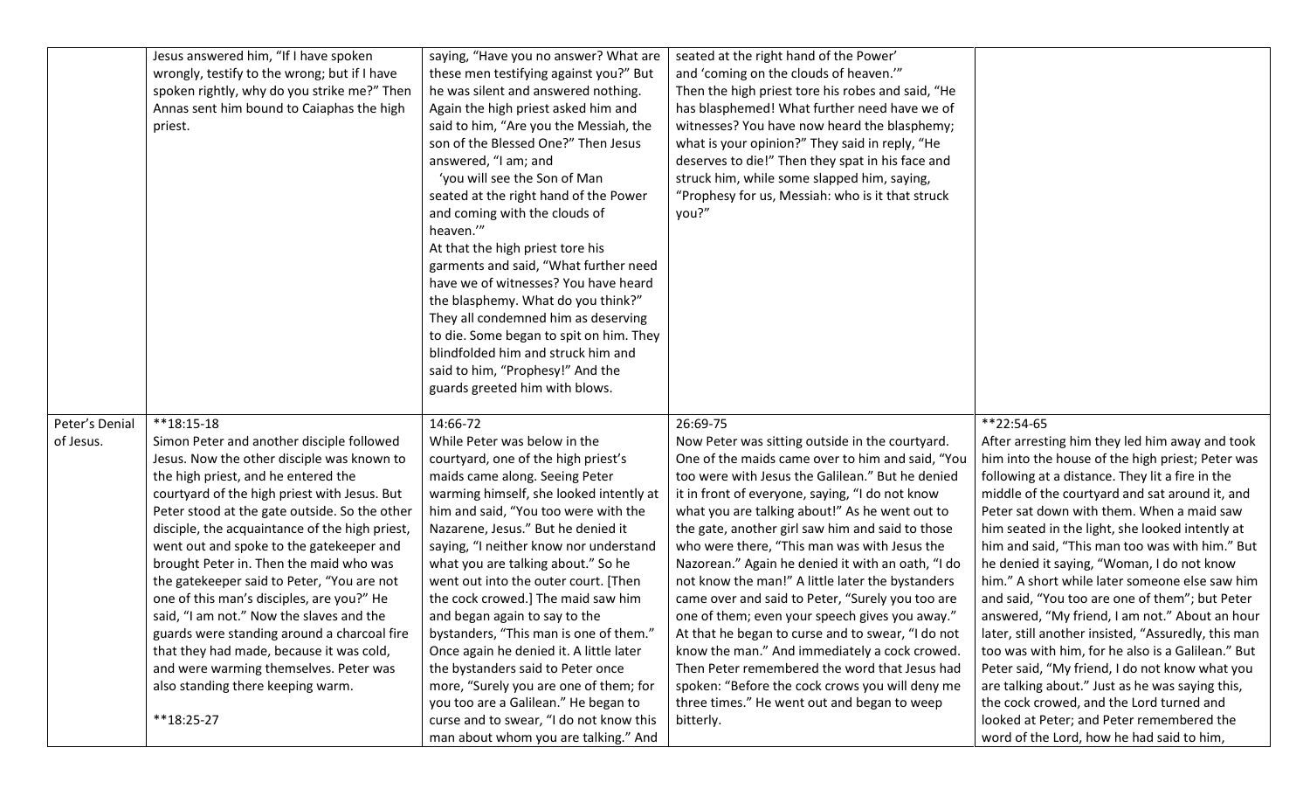|                             | Jesus answered him, "If I have spoken<br>wrongly, testify to the wrong; but if I have<br>spoken rightly, why do you strike me?" Then<br>Annas sent him bound to Caiaphas the high<br>priest.                                                                                                                                                                                                                                                                                                                                                                                                                                                                                                                            | saying, "Have you no answer? What are<br>these men testifying against you?" But<br>he was silent and answered nothing.<br>Again the high priest asked him and<br>said to him, "Are you the Messiah, the<br>son of the Blessed One?" Then Jesus<br>answered, "I am; and<br>'you will see the Son of Man<br>seated at the right hand of the Power<br>and coming with the clouds of<br>heaven."<br>At that the high priest tore his<br>garments and said, "What further need<br>have we of witnesses? You have heard<br>the blasphemy. What do you think?"<br>They all condemned him as deserving<br>to die. Some began to spit on him. They<br>blindfolded him and struck him and<br>said to him, "Prophesy!" And the<br>guards greeted him with blows. | seated at the right hand of the Power'<br>and 'coming on the clouds of heaven.""<br>Then the high priest tore his robes and said, "He<br>has blasphemed! What further need have we of<br>witnesses? You have now heard the blasphemy;<br>what is your opinion?" They said in reply, "He<br>deserves to die!" Then they spat in his face and<br>struck him, while some slapped him, saying,<br>"Prophesy for us, Messiah: who is it that struck<br>you?"                                                                                                                                                                                                                                                                                                                                                                                                           |                                                                                                                                                                                                                                                                                                                                                                                                                                                                                                                                                                                                                                                                                                                                                                                                                                                                                                                                      |
|-----------------------------|-------------------------------------------------------------------------------------------------------------------------------------------------------------------------------------------------------------------------------------------------------------------------------------------------------------------------------------------------------------------------------------------------------------------------------------------------------------------------------------------------------------------------------------------------------------------------------------------------------------------------------------------------------------------------------------------------------------------------|-------------------------------------------------------------------------------------------------------------------------------------------------------------------------------------------------------------------------------------------------------------------------------------------------------------------------------------------------------------------------------------------------------------------------------------------------------------------------------------------------------------------------------------------------------------------------------------------------------------------------------------------------------------------------------------------------------------------------------------------------------|-------------------------------------------------------------------------------------------------------------------------------------------------------------------------------------------------------------------------------------------------------------------------------------------------------------------------------------------------------------------------------------------------------------------------------------------------------------------------------------------------------------------------------------------------------------------------------------------------------------------------------------------------------------------------------------------------------------------------------------------------------------------------------------------------------------------------------------------------------------------|--------------------------------------------------------------------------------------------------------------------------------------------------------------------------------------------------------------------------------------------------------------------------------------------------------------------------------------------------------------------------------------------------------------------------------------------------------------------------------------------------------------------------------------------------------------------------------------------------------------------------------------------------------------------------------------------------------------------------------------------------------------------------------------------------------------------------------------------------------------------------------------------------------------------------------------|
| Peter's Denial<br>of Jesus. | $**18:15-18$<br>Simon Peter and another disciple followed<br>Jesus. Now the other disciple was known to<br>the high priest, and he entered the<br>courtyard of the high priest with Jesus. But<br>Peter stood at the gate outside. So the other<br>disciple, the acquaintance of the high priest,<br>went out and spoke to the gatekeeper and<br>brought Peter in. Then the maid who was<br>the gatekeeper said to Peter, "You are not<br>one of this man's disciples, are you?" He<br>said, "I am not." Now the slaves and the<br>guards were standing around a charcoal fire<br>that they had made, because it was cold,<br>and were warming themselves. Peter was<br>also standing there keeping warm.<br>**18:25-27 | 14:66-72<br>While Peter was below in the<br>courtyard, one of the high priest's<br>maids came along. Seeing Peter<br>warming himself, she looked intently at<br>him and said, "You too were with the<br>Nazarene, Jesus." But he denied it<br>saying, "I neither know nor understand<br>what you are talking about." So he<br>went out into the outer court. [Then<br>the cock crowed.] The maid saw him<br>and began again to say to the<br>bystanders, "This man is one of them."<br>Once again he denied it. A little later<br>the bystanders said to Peter once<br>more, "Surely you are one of them; for<br>you too are a Galilean." He began to<br>curse and to swear, "I do not know this<br>man about whom you are talking." And              | 26:69-75<br>Now Peter was sitting outside in the courtyard.<br>One of the maids came over to him and said, "You<br>too were with Jesus the Galilean." But he denied<br>it in front of everyone, saying, "I do not know<br>what you are talking about!" As he went out to<br>the gate, another girl saw him and said to those<br>who were there, "This man was with Jesus the<br>Nazorean." Again he denied it with an oath, "I do<br>not know the man!" A little later the bystanders<br>came over and said to Peter, "Surely you too are<br>one of them; even your speech gives you away."<br>At that he began to curse and to swear, "I do not<br>know the man." And immediately a cock crowed.<br>Then Peter remembered the word that Jesus had<br>spoken: "Before the cock crows you will deny me<br>three times." He went out and began to weep<br>bitterly. | $**22:54-65$<br>After arresting him they led him away and took<br>him into the house of the high priest; Peter was<br>following at a distance. They lit a fire in the<br>middle of the courtyard and sat around it, and<br>Peter sat down with them. When a maid saw<br>him seated in the light, she looked intently at<br>him and said, "This man too was with him." But<br>he denied it saying, "Woman, I do not know<br>him." A short while later someone else saw him<br>and said, "You too are one of them"; but Peter<br>answered, "My friend, I am not." About an hour<br>later, still another insisted, "Assuredly, this man<br>too was with him, for he also is a Galilean." But<br>Peter said, "My friend, I do not know what you<br>are talking about." Just as he was saying this,<br>the cock crowed, and the Lord turned and<br>looked at Peter; and Peter remembered the<br>word of the Lord, how he had said to him, |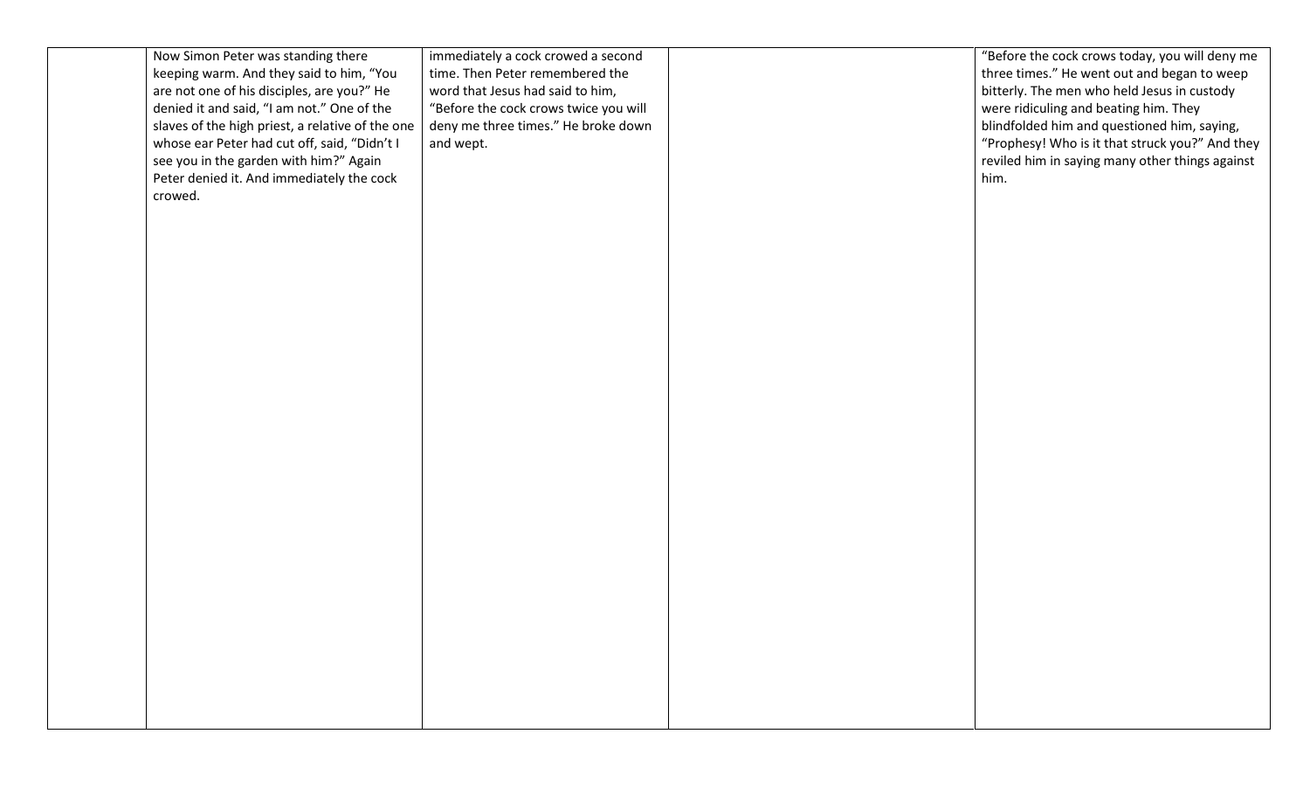| Now Simon Peter was standing there<br>keeping warm. And they said to him, "You<br>are not one of his disciples, are you?" He<br>denied it and said, "I am not." One of the<br>slaves of the high priest, a relative of the one<br>whose ear Peter had cut off, said, "Didn't I<br>see you in the garden with him?" Again<br>Peter denied it. And immediately the cock<br>crowed. | immediately a cock crowed a second<br>time. Then Peter remembered the<br>word that Jesus had said to him,<br>"Before the cock crows twice you will<br>deny me three times." He broke down<br>and wept. | "Before the cock crows today, you will deny me<br>three times." He went out and began to weep<br>bitterly. The men who held Jesus in custody<br>were ridiculing and beating him. They<br>blindfolded him and questioned him, saying,<br>"Prophesy! Who is it that struck you?" And they<br>reviled him in saying many other things against<br>him. |
|----------------------------------------------------------------------------------------------------------------------------------------------------------------------------------------------------------------------------------------------------------------------------------------------------------------------------------------------------------------------------------|--------------------------------------------------------------------------------------------------------------------------------------------------------------------------------------------------------|----------------------------------------------------------------------------------------------------------------------------------------------------------------------------------------------------------------------------------------------------------------------------------------------------------------------------------------------------|
|                                                                                                                                                                                                                                                                                                                                                                                  |                                                                                                                                                                                                        |                                                                                                                                                                                                                                                                                                                                                    |
|                                                                                                                                                                                                                                                                                                                                                                                  |                                                                                                                                                                                                        |                                                                                                                                                                                                                                                                                                                                                    |
|                                                                                                                                                                                                                                                                                                                                                                                  |                                                                                                                                                                                                        |                                                                                                                                                                                                                                                                                                                                                    |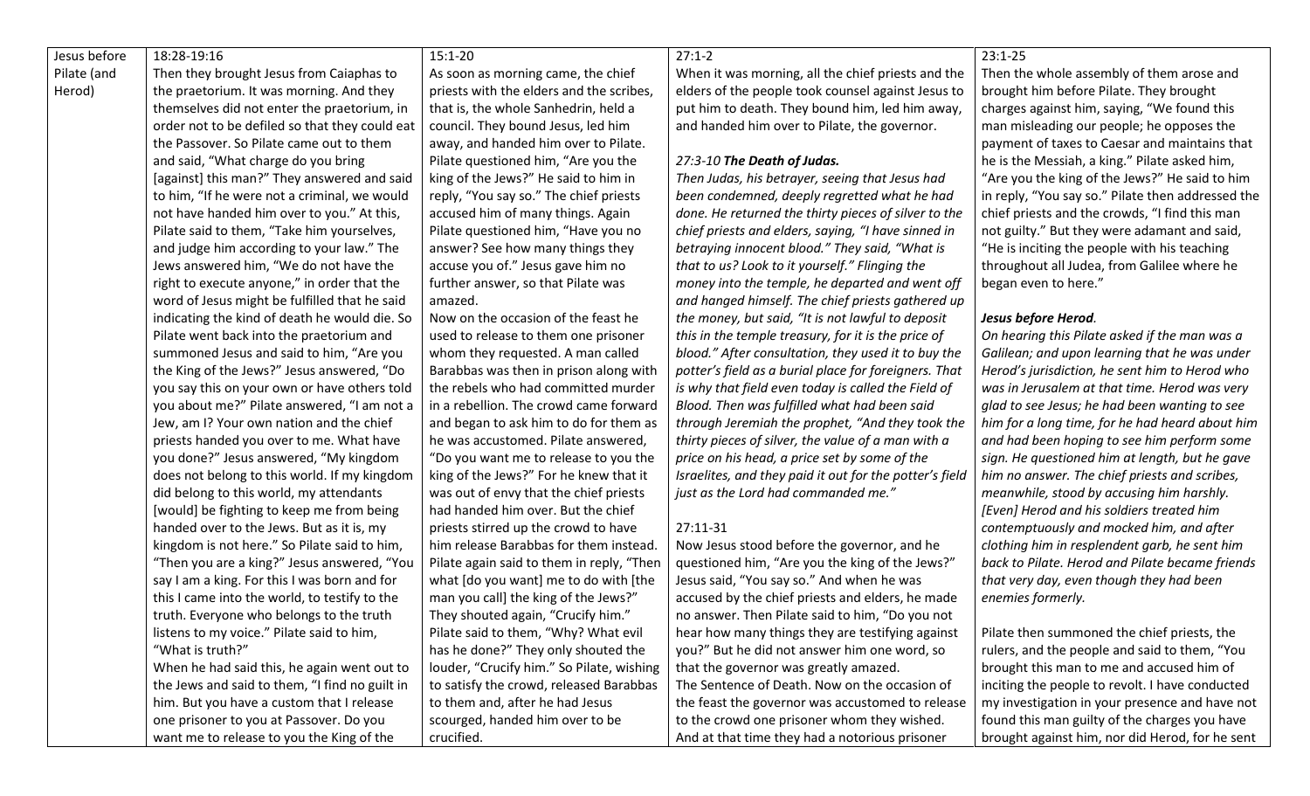| Jesus before | 18:28-19:16                                    | $15:1 - 20$                               | $27:1-2$                                                | $23:1 - 25$                                       |
|--------------|------------------------------------------------|-------------------------------------------|---------------------------------------------------------|---------------------------------------------------|
| Pilate (and  | Then they brought Jesus from Caiaphas to       | As soon as morning came, the chief        | When it was morning, all the chief priests and the      | Then the whole assembly of them arose and         |
| Herod)       | the praetorium. It was morning. And they       | priests with the elders and the scribes,  | elders of the people took counsel against Jesus to      | brought him before Pilate. They brought           |
|              | themselves did not enter the praetorium, in    | that is, the whole Sanhedrin, held a      | put him to death. They bound him, led him away,         | charges against him, saying, "We found this       |
|              | order not to be defiled so that they could eat | council. They bound Jesus, led him        | and handed him over to Pilate, the governor.            | man misleading our people; he opposes the         |
|              | the Passover. So Pilate came out to them       | away, and handed him over to Pilate.      |                                                         | payment of taxes to Caesar and maintains that     |
|              | and said, "What charge do you bring            | Pilate questioned him, "Are you the       | 27:3-10 The Death of Judas.                             | he is the Messiah, a king." Pilate asked him,     |
|              | [against] this man?" They answered and said    | king of the Jews?" He said to him in      | Then Judas, his betrayer, seeing that Jesus had         | "Are you the king of the Jews?" He said to him    |
|              | to him, "If he were not a criminal, we would   | reply, "You say so." The chief priests    | been condemned, deeply regretted what he had            | in reply, "You say so." Pilate then addressed the |
|              | not have handed him over to you." At this,     | accused him of many things. Again         | done. He returned the thirty pieces of silver to the    | chief priests and the crowds, "I find this man    |
|              | Pilate said to them, "Take him yourselves,     | Pilate questioned him, "Have you no       | chief priests and elders, saying, "I have sinned in     | not guilty." But they were adamant and said,      |
|              | and judge him according to your law." The      | answer? See how many things they          | betraying innocent blood." They said, "What is          | "He is inciting the people with his teaching      |
|              | Jews answered him, "We do not have the         | accuse you of." Jesus gave him no         | that to us? Look to it yourself." Flinging the          | throughout all Judea, from Galilee where he       |
|              | right to execute anyone," in order that the    | further answer, so that Pilate was        | money into the temple, he departed and went off         | began even to here."                              |
|              | word of Jesus might be fulfilled that he said  | amazed.                                   | and hanged himself. The chief priests gathered up       |                                                   |
|              | indicating the kind of death he would die. So  | Now on the occasion of the feast he       | the money, but said, "It is not lawful to deposit       | Jesus before Herod.                               |
|              | Pilate went back into the praetorium and       | used to release to them one prisoner      | this in the temple treasury, for it is the price of     | On hearing this Pilate asked if the man was a     |
|              | summoned Jesus and said to him, "Are you       | whom they requested. A man called         | blood." After consultation, they used it to buy the     | Galilean; and upon learning that he was under     |
|              | the King of the Jews?" Jesus answered, "Do     | Barabbas was then in prison along with    | potter's field as a burial place for foreigners. That   | Herod's jurisdiction, he sent him to Herod who    |
|              | you say this on your own or have others told   | the rebels who had committed murder       | is why that field even today is called the Field of     | was in Jerusalem at that time. Herod was very     |
|              | you about me?" Pilate answered, "I am not a    | in a rebellion. The crowd came forward    | Blood. Then was fulfilled what had been said            | glad to see Jesus; he had been wanting to see     |
|              | Jew, am I? Your own nation and the chief       | and began to ask him to do for them as    | through Jeremiah the prophet, "And they took the        | him for a long time, for he had heard about him   |
|              | priests handed you over to me. What have       | he was accustomed. Pilate answered,       | thirty pieces of silver, the value of a man with a      | and had been hoping to see him perform some       |
|              | you done?" Jesus answered, "My kingdom         | "Do you want me to release to you the     | price on his head, a price set by some of the           | sign. He questioned him at length, but he gave    |
|              | does not belong to this world. If my kingdom   | king of the Jews?" For he knew that it    | Israelites, and they paid it out for the potter's field | him no answer. The chief priests and scribes,     |
|              | did belong to this world, my attendants        | was out of envy that the chief priests    | just as the Lord had commanded me."                     | meanwhile, stood by accusing him harshly.         |
|              | [would] be fighting to keep me from being      | had handed him over. But the chief        |                                                         | [Even] Herod and his soldiers treated him         |
|              | handed over to the Jews. But as it is, my      | priests stirred up the crowd to have      | 27:11-31                                                | contemptuously and mocked him, and after          |
|              | kingdom is not here." So Pilate said to him,   | him release Barabbas for them instead.    | Now Jesus stood before the governor, and he             | clothing him in resplendent garb, he sent him     |
|              | "Then you are a king?" Jesus answered, "You    | Pilate again said to them in reply, "Then | questioned him, "Are you the king of the Jews?"         | back to Pilate. Herod and Pilate became friends   |
|              | say I am a king. For this I was born and for   | what [do you want] me to do with [the     | Jesus said, "You say so." And when he was               | that very day, even though they had been          |
|              | this I came into the world, to testify to the  | man you call] the king of the Jews?"      | accused by the chief priests and elders, he made        | enemies formerly.                                 |
|              | truth. Everyone who belongs to the truth       | They shouted again, "Crucify him."        | no answer. Then Pilate said to him, "Do you not         |                                                   |
|              | listens to my voice." Pilate said to him,      | Pilate said to them, "Why? What evil      | hear how many things they are testifying against        | Pilate then summoned the chief priests, the       |
|              | "What is truth?"                               | has he done?" They only shouted the       | you?" But he did not answer him one word, so            | rulers, and the people and said to them, "You     |
|              | When he had said this, he again went out to    | louder, "Crucify him." So Pilate, wishing | that the governor was greatly amazed.                   | brought this man to me and accused him of         |
|              | the Jews and said to them, "I find no guilt in | to satisfy the crowd, released Barabbas   | The Sentence of Death. Now on the occasion of           | inciting the people to revolt. I have conducted   |
|              | him. But you have a custom that I release      | to them and, after he had Jesus           | the feast the governor was accustomed to release        | my investigation in your presence and have not    |
|              | one prisoner to you at Passover. Do you        | scourged, handed him over to be           | to the crowd one prisoner whom they wished.             | found this man guilty of the charges you have     |
|              | want me to release to you the King of the      | crucified.                                | And at that time they had a notorious prisoner          | brought against him, nor did Herod, for he sent   |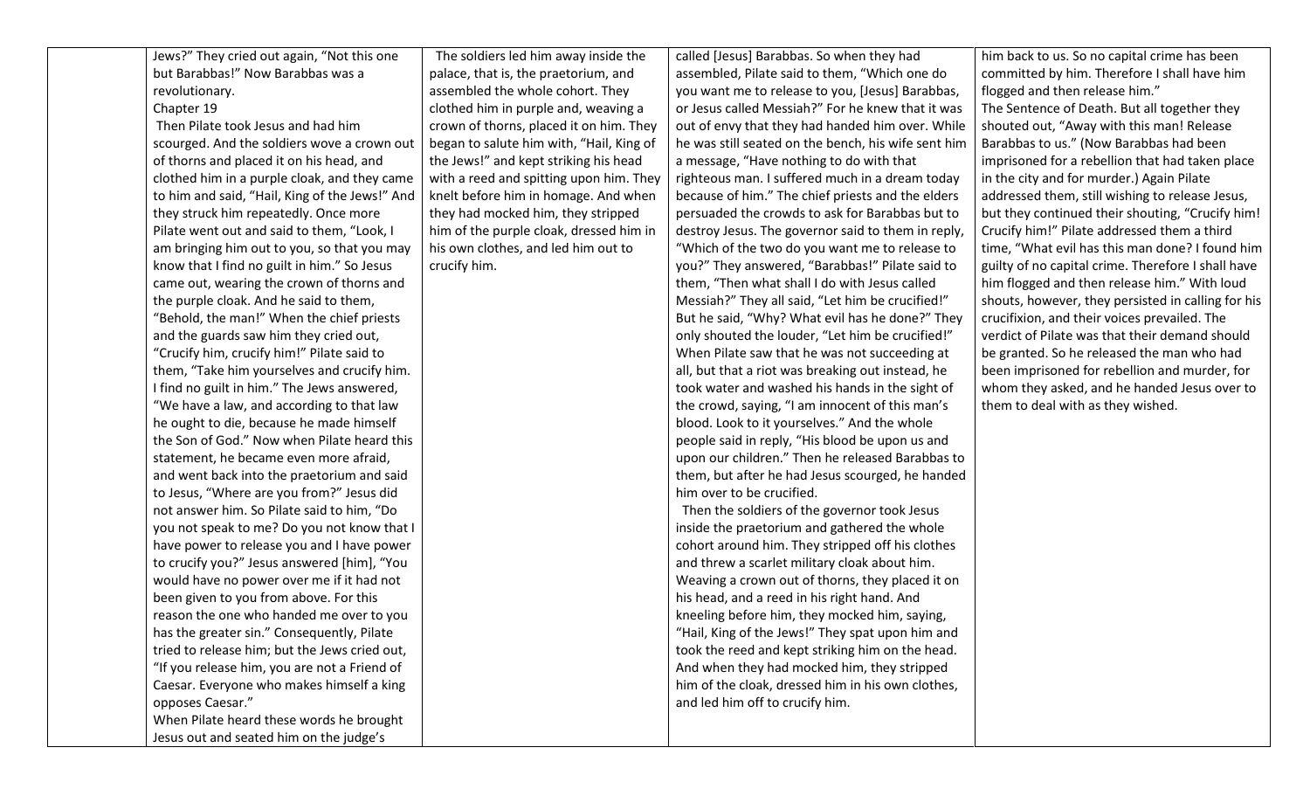| Jews?" They cried out again, "Not this one     | The soldiers led him away inside the     |
|------------------------------------------------|------------------------------------------|
| but Barabbas!" Now Barabbas was a              | palace, that is, the praetorium, and     |
| revolutionary.                                 | assembled the whole cohort. They         |
| Chapter 19                                     | clothed him in purple and, weaving a     |
| Then Pilate took Jesus and had him             | crown of thorns, placed it on him. They  |
| scourged. And the soldiers wove a crown out    | began to salute him with, "Hail, King of |
| of thorns and placed it on his head, and       | the Jews!" and kept striking his head    |
| clothed him in a purple cloak, and they came   | with a reed and spitting upon him. They  |
| to him and said, "Hail, King of the Jews!" And | knelt before him in homage. And when     |
| they struck him repeatedly. Once more          | they had mocked him, they stripped       |
| Pilate went out and said to them, "Look, I     | him of the purple cloak, dressed him in  |
| am bringing him out to you, so that you may    | his own clothes, and led him out to      |
| know that I find no guilt in him." So Jesus    | crucify him.                             |
| came out, wearing the crown of thorns and      |                                          |
| the purple cloak. And he said to them,         |                                          |
| "Behold, the man!" When the chief priests      |                                          |
| and the guards saw him they cried out,         |                                          |
| "Crucify him, crucify him!" Pilate said to     |                                          |
| them, "Take him yourselves and crucify him.    |                                          |
| I find no guilt in him." The Jews answered,    |                                          |
| "We have a law, and according to that law      |                                          |
| he ought to die, because he made himself       |                                          |
| the Son of God." Now when Pilate heard this    |                                          |
| statement, he became even more afraid,         |                                          |
| and went back into the praetorium and said     |                                          |
| to Jesus, "Where are you from?" Jesus did      |                                          |
| not answer him. So Pilate said to him, "Do     |                                          |
| you not speak to me? Do you not know that I    |                                          |
| have power to release you and I have power     |                                          |
| to crucify you?" Jesus answered [him], "You    |                                          |
| would have no power over me if it had not      |                                          |
| been given to you from above. For this         |                                          |
| reason the one who handed me over to you       |                                          |
| has the greater sin." Consequently, Pilate     |                                          |
| tried to release him; but the Jews cried out,  |                                          |
| "If you release him, you are not a Friend of   |                                          |
| Caesar. Everyone who makes himself a king      |                                          |
| opposes Caesar."                               |                                          |
| When Pilate heard these words he brought       |                                          |
| Jesus out and seated him on the judge's        |                                          |

called [Jesus] Barabbas. So when they had assembled, Pilate said to them, "Which one do you want me to release to you, [Jesus] Barabbas, or Jesus called Messiah?" For he knew that it was out of envy that they had handed him over. While he was still seated on the bench, his wife sent him a message, "Have nothing to do with that righteous man. I suffered much in a dream today because of him." The chief priests and the elders persuaded the crowds to ask for Barabbas but to destroy Jesus. The governor said to them in reply, "Which of the two do you want me to release to you?" They answered, "Barabbas!" Pilate said to them, "Then what shall I do with Jesus called Messiah?" They all said, "Let him be crucified!" But he said, "Why? What evil has he done?" They only shouted the louder, "Let him be crucified!" When Pilate saw that he was not succeeding at all, but that a riot was breaking out instead, he took water and washed his hands in the sight of the crowd, saying, "I am innocent of this man's blood. Look to it yourselves." And the whole people said in reply, "His blood be upon us and upon our children." Then he released Barabbas to them, but after he had Jesus scourged, he handed him over to be crucified. Then the soldiers of the governor took Jesus inside the praetorium and gathered the whole cohort around him. They stripped off his clothes and threw a scarlet military cloak about him.

Weaving a crown out of thorns, they placed it on

his head, and a reed in his right hand. And kneeling before him, they mocked him, saying, "Hail, King of the Jews!" They spat upon him and took the reed and kept striking him on the head. And when they had mocked him, they stripped him of the cloak, dressed him in his own clothes,

and led him off to crucify him.

him back to us. So no capital crime has been committed by him. Therefore I shall have him flogged and then release him." The Sentence of Death. But all together they shouted out, "Away with this man! Release Barabbas to us." (Now Barabbas had been imprisoned for a rebellion that had taken place in the city and for murder.) Again Pilate addressed them, still wishing to release Jesus, but they continued their shouting, "Crucify him! Crucify him!" Pilate addressed them a third time, "What evil has this man done? I found him guilty of no capital crime. Therefore I shall have him flogged and then release him." With loud shouts, however, they persisted in calling for his crucifixion, and their voices prevailed. The verdict of Pilate was that their demand should be granted. So he released the man who had been imprisoned for rebellion and murder, for whom they asked, and he handed Jesus over to them to deal with as they wished.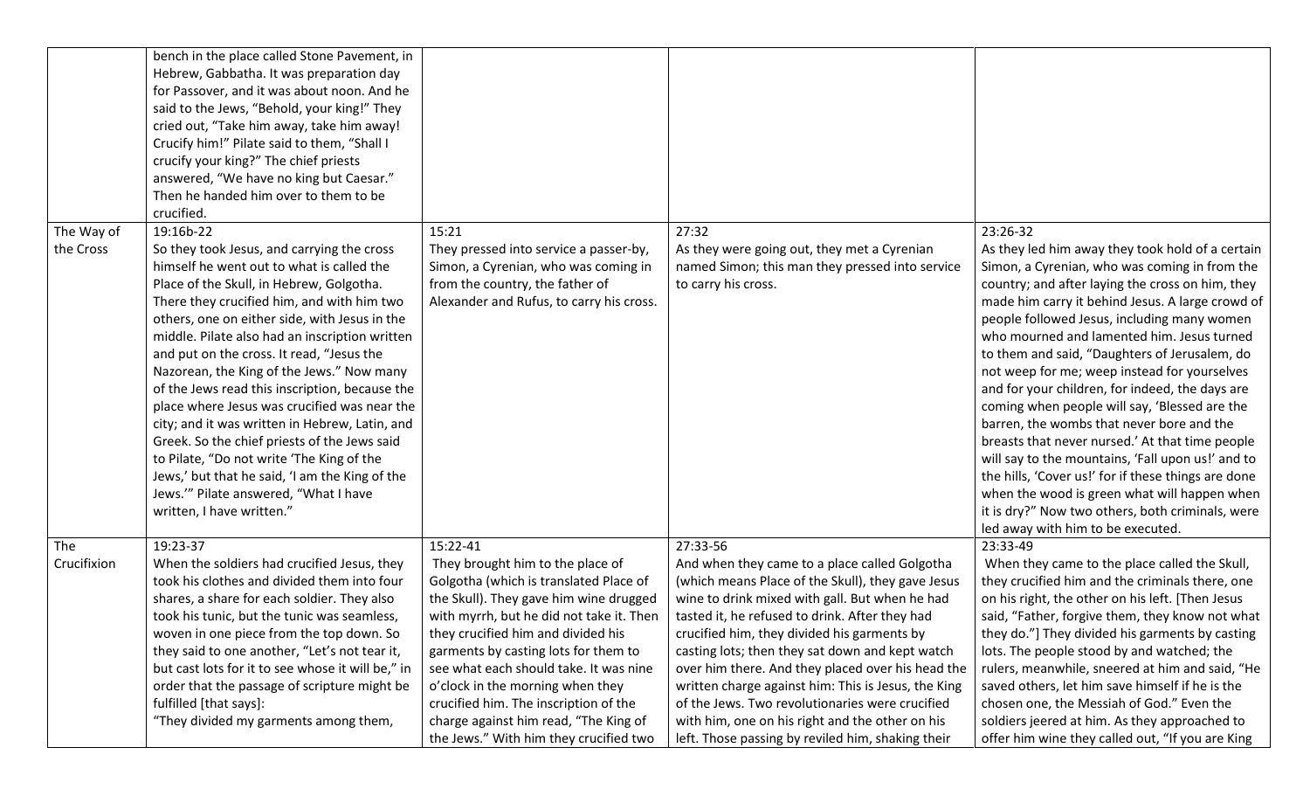|                         | bench in the place called Stone Pavement, in<br>Hebrew, Gabbatha. It was preparation day<br>for Passover, and it was about noon. And he<br>said to the Jews, "Behold, your king!" They<br>cried out, "Take him away, take him away!<br>Crucify him!" Pilate said to them, "Shall I<br>crucify your king?" The chief priests<br>answered, "We have no king but Caesar."<br>Then he handed him over to them to be<br>crucified.                                                                                                                                                                                                                                                                                                                                        |                                                                                                                                                                                                                                                                                                                                                                                                                                                                      |                                                                                                                                                                                                                                                                                                                                                                                                                                                                                                                                                                                             |                                                                                                                                                                                                                                                                                                                                                                                                                                                                                                                                                                                                                                                                                                                                                                                                                                                                              |
|-------------------------|----------------------------------------------------------------------------------------------------------------------------------------------------------------------------------------------------------------------------------------------------------------------------------------------------------------------------------------------------------------------------------------------------------------------------------------------------------------------------------------------------------------------------------------------------------------------------------------------------------------------------------------------------------------------------------------------------------------------------------------------------------------------|----------------------------------------------------------------------------------------------------------------------------------------------------------------------------------------------------------------------------------------------------------------------------------------------------------------------------------------------------------------------------------------------------------------------------------------------------------------------|---------------------------------------------------------------------------------------------------------------------------------------------------------------------------------------------------------------------------------------------------------------------------------------------------------------------------------------------------------------------------------------------------------------------------------------------------------------------------------------------------------------------------------------------------------------------------------------------|------------------------------------------------------------------------------------------------------------------------------------------------------------------------------------------------------------------------------------------------------------------------------------------------------------------------------------------------------------------------------------------------------------------------------------------------------------------------------------------------------------------------------------------------------------------------------------------------------------------------------------------------------------------------------------------------------------------------------------------------------------------------------------------------------------------------------------------------------------------------------|
| The Way of<br>the Cross | 19:16b-22<br>So they took Jesus, and carrying the cross<br>himself he went out to what is called the<br>Place of the Skull, in Hebrew, Golgotha.<br>There they crucified him, and with him two<br>others, one on either side, with Jesus in the<br>middle. Pilate also had an inscription written<br>and put on the cross. It read, "Jesus the<br>Nazorean, the King of the Jews." Now many<br>of the Jews read this inscription, because the<br>place where Jesus was crucified was near the<br>city; and it was written in Hebrew, Latin, and<br>Greek. So the chief priests of the Jews said<br>to Pilate, "Do not write 'The King of the<br>Jews,' but that he said, 'I am the King of the<br>Jews."" Pilate answered, "What I have<br>written, I have written." | 15:21<br>They pressed into service a passer-by,<br>Simon, a Cyrenian, who was coming in<br>from the country, the father of<br>Alexander and Rufus, to carry his cross.                                                                                                                                                                                                                                                                                               | 27:32<br>As they were going out, they met a Cyrenian<br>named Simon; this man they pressed into service<br>to carry his cross.                                                                                                                                                                                                                                                                                                                                                                                                                                                              | 23:26-32<br>As they led him away they took hold of a certain<br>Simon, a Cyrenian, who was coming in from the<br>country; and after laying the cross on him, they<br>made him carry it behind Jesus. A large crowd of<br>people followed Jesus, including many women<br>who mourned and lamented him. Jesus turned<br>to them and said, "Daughters of Jerusalem, do<br>not weep for me; weep instead for yourselves<br>and for your children, for indeed, the days are<br>coming when people will say, 'Blessed are the<br>barren, the wombs that never bore and the<br>breasts that never nursed.' At that time people<br>will say to the mountains, 'Fall upon us!' and to<br>the hills, 'Cover us!' for if these things are done<br>when the wood is green what will happen when<br>it is dry?" Now two others, both criminals, were<br>led away with him to be executed. |
| The<br>Crucifixion      | 19:23-37<br>When the soldiers had crucified Jesus, they<br>took his clothes and divided them into four<br>shares, a share for each soldier. They also<br>took his tunic, but the tunic was seamless,<br>woven in one piece from the top down. So<br>they said to one another, "Let's not tear it,<br>but cast lots for it to see whose it will be," in<br>order that the passage of scripture might be<br>fulfilled [that says]:<br>"They divided my garments among them,                                                                                                                                                                                                                                                                                            | 15:22-41<br>They brought him to the place of<br>Golgotha (which is translated Place of<br>the Skull). They gave him wine drugged<br>with myrrh, but he did not take it. Then<br>they crucified him and divided his<br>garments by casting lots for them to<br>see what each should take. It was nine<br>o'clock in the morning when they<br>crucified him. The inscription of the<br>charge against him read, "The King of<br>the Jews." With him they crucified two | 27:33-56<br>And when they came to a place called Golgotha<br>(which means Place of the Skull), they gave Jesus<br>wine to drink mixed with gall. But when he had<br>tasted it, he refused to drink. After they had<br>crucified him, they divided his garments by<br>casting lots; then they sat down and kept watch<br>over him there. And they placed over his head the<br>written charge against him: This is Jesus, the King<br>of the Jews. Two revolutionaries were crucified<br>with him, one on his right and the other on his<br>left. Those passing by reviled him, shaking their | 23:33-49<br>When they came to the place called the Skull,<br>they crucified him and the criminals there, one<br>on his right, the other on his left. [Then Jesus<br>said, "Father, forgive them, they know not what<br>they do."] They divided his garments by casting<br>lots. The people stood by and watched; the<br>rulers, meanwhile, sneered at him and said, "He<br>saved others, let him save himself if he is the<br>chosen one, the Messiah of God." Even the<br>soldiers jeered at him. As they approached to<br>offer him wine they called out, "If you are King                                                                                                                                                                                                                                                                                                 |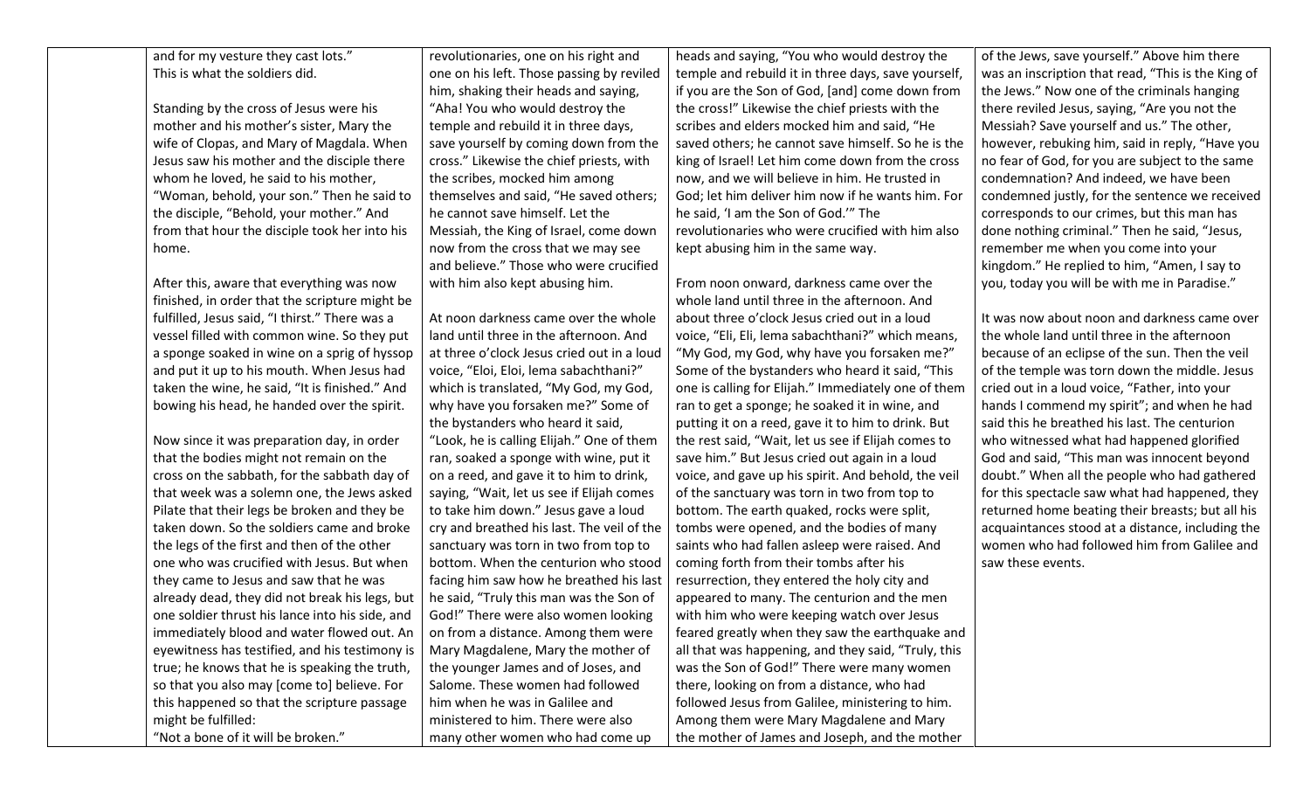## and for my vesture they cast lots." This is what the soldiers did.

Standing by the cross of Jesus were his mother and his mother's sister, Mary the wife of Clopas, and Mary of Magdala. When Jesus saw his mother and the disciple there whom he loved, he said to his mother, "Woman, behold, your son." Then he said to the disciple, "Behold, your mother." And from that hour the disciple took her into his home.

After this, aware that everything was now finished, in order that the scripture might be fulfilled, Jesus said, "I thirst." There was a vessel filled with common wine. So they put a sponge soaked in wine on a sprig of hyssop and put it up to his mouth. When Jesus had taken the wine, he said, "It is finished." And bowing his head, he handed over the spirit.

Now since it was preparation day, in order that the bodies might not remain on the cross on the sabbath, for the sabbath day of that week was a solemn one, the Jews asked Pilate that their legs be broken and they be taken down. So the soldiers came and broke the legs of the first and then of the other one who was crucified with Jesus. But when they came to Jesus and saw that he was already dead, they did not break his legs, but one soldier thrust his lance into his side, and immediately blood and water flowed out. An eyewitness has testified, and his testimony is true; he knows that he is speaking the truth, so that you also may [come to] believe. For this happened so that the scripture passage might be fulfilled: "Not a bone of it will be broken."

revolutionaries, one on his right and one on his left. Those passing by reviled him, shaking their heads and saying, "Aha! You who would destroy the temple and rebuild it in three days, save yourself by coming down from the cross." Likewise the chief priests, with the scribes, mocked him among themselves and said, "He saved others; he cannot save himself. Let the Messiah, the King of Israel, come down now from the cross that we may see and believe." Those who were crucified with him also kept abusing him.

At noon darkness came over the whole land until three in the afternoon. And at three o'clock Jesus cried out in a loud voice, "Eloi, Eloi, lema sabachthani?" which is translated, "My God, my God, why have you forsaken me?" Some of the bystanders who heard it said, "Look, he is calling Elijah." One of them ran, soaked a sponge with wine, put it on a reed, and gave it to him to drink, saying, "Wait, let us see if Elijah comes to take him down." Jesus gave a loud cry and breathed his last. The veil of the sanctuary was torn in two from top to bottom. When the centurion who stood facing him saw how he breathed his last he said, "Truly this man was the Son of God!" There were also women looking on from a distance. Among them were Mary Magdalene, Mary the mother of the younger James and of Joses, and Salome. These women had followed him when he was in Galilee and ministered to him. There were also many other women who had come up

heads and saying, "You who would destroy the temple and rebuild it in three days, save yourself, if you are the Son of God, [and] come down from the cross!" Likewise the chief priests with the scribes and elders mocked him and said, "He saved others; he cannot save himself. So he is the king of Israel! Let him come down from the cross now, and we will believe in him. He trusted in God; let him deliver him now if he wants him. For he said, 'I am the Son of God.'" The revolutionaries who were crucified with him also kept abusing him in the same way.

From noon onward, darkness came over the whole land until three in the afternoon. And about three o'clock Jesus cried out in a loud voice, "Eli, Eli, lema sabachthani?" which means, "My God, my God, why have you forsaken me?" Some of the bystanders who heard it said, "This one is calling for Elijah." Immediately one of them ran to get a sponge; he soaked it in wine, and putting it on a reed, gave it to him to drink. But the rest said, "Wait, let us see if Elijah comes to save him." But Jesus cried out again in a loud voice, and gave up his spirit. And behold, the veil of the sanctuary was torn in two from top to bottom. The earth quaked, rocks were split, tombs were opened, and the bodies of many saints who had fallen asleep were raised. And coming forth from their tombs after his resurrection, they entered the holy city and appeared to many. The centurion and the men with him who were keeping watch over Jesus feared greatly when they saw the earthquake and all that was happening, and they said, "Truly, this was the Son of God!" There were many women there, looking on from a distance, who had followed Jesus from Galilee, ministering to him. Among them were Mary Magdalene and Mary the mother of James and Joseph, and the mother

of the Jews, save yourself." Above him there was an inscription that read, "This is the King of the Jews." Now one of the criminals hanging there reviled Jesus, saying, "Are you not the Messiah? Save yourself and us." The other, however, rebuking him, said in reply, "Have you no fear of God, for you are subject to the same condemnation? And indeed, we have been condemned justly, for the sentence we received corresponds to our crimes, but this man has done nothing criminal." Then he said, "Jesus, remember me when you come into your kingdom." He replied to him, "Amen, I say to you, today you will be with me in Paradise."

It was now about noon and darkness came over the whole land until three in the afternoon because of an eclipse of the sun. Then the veil of the temple was torn down the middle. Jesus cried out in a loud voice, "Father, into your hands I commend my spirit"; and when he had said this he breathed his last. The centurion who witnessed what had happened glorified God and said, "This man was innocent beyond doubt." When all the people who had gathered for this spectacle saw what had happened, they returned home beating their breasts; but all his acquaintances stood at a distance, including the women who had followed him from Galilee and saw these events.